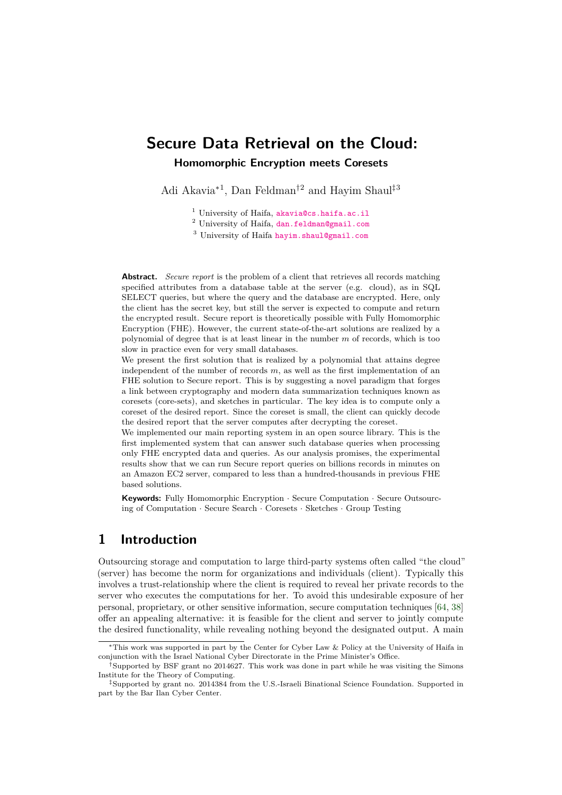# **Secure Data Retrieval on the Cloud: Homomorphic Encryption meets Coresets**

Adi Akavia<sup>∗</sup><sup>1</sup> , Dan Feldman†<sup>2</sup> and Hayim Shaul‡<sup>3</sup>

<sup>1</sup> University of Haifa, [akavia@cs.haifa.ac.il](mailto:akavia@cs.haifa.ac.il)

<sup>2</sup> University of Haifa, [dan.feldman@gmail.com](mailto:dan.feldman@gmail.com)

<sup>3</sup> University of Haifa [hayim.shaul@gmail.com](mailto:hayim.shaul@gmail.com)

**Abstract.** *Secure report* is the problem of a client that retrieves all records matching specified attributes from a database table at the server (e.g. cloud), as in SQL SELECT queries, but where the query and the database are encrypted. Here, only the client has the secret key, but still the server is expected to compute and return the encrypted result. Secure report is theoretically possible with Fully Homomorphic Encryption (FHE). However, the current state-of-the-art solutions are realized by a polynomial of degree that is at least linear in the number *m* of records, which is too slow in practice even for very small databases.

We present the first solution that is realized by a polynomial that attains degree independent of the number of records *m*, as well as the first implementation of an FHE solution to Secure report. This is by suggesting a novel paradigm that forges a link between cryptography and modern data summarization techniques known as coresets (core-sets), and sketches in particular. The key idea is to compute only a coreset of the desired report. Since the coreset is small, the client can quickly decode the desired report that the server computes after decrypting the coreset.

We implemented our main reporting system in an open source library. This is the first implemented system that can answer such database queries when processing only FHE encrypted data and queries. As our analysis promises, the experimental results show that we can run Secure report queries on billions records in minutes on an Amazon EC2 server, compared to less than a hundred-thousands in previous FHE based solutions.

**Keywords:** Fully Homomorphic Encryption · Secure Computation · Secure Outsourcing of Computation · Secure Search · Coresets · Sketches · Group Testing

# **1 Introduction**

Outsourcing storage and computation to large third-party systems often called "the cloud" (server) has become the norm for organizations and individuals (client). Typically this involves a trust-relationship where the client is required to reveal her private records to the server who executes the computations for her. To avoid this undesirable exposure of her personal, proprietary, or other sensitive information, secure computation techniques [\[64,](#page-24-0) [38\]](#page-22-0) offer an appealing alternative: it is feasible for the client and server to jointly compute the desired functionality, while revealing nothing beyond the designated output. A main

<sup>∗</sup>This work was supported in part by the Center for Cyber Law & Policy at the University of Haifa in conjunction with the Israel National Cyber Directorate in the Prime Minister's Office.

<sup>&</sup>lt;sup>†</sup>Supported by BSF grant no 2014627. This work was done in part while he was visiting the Simons Institute for the Theory of Computing.

<sup>‡</sup>Supported by grant no. 2014384 from the U.S.-Israeli Binational Science Foundation. Supported in part by the Bar Ilan Cyber Center.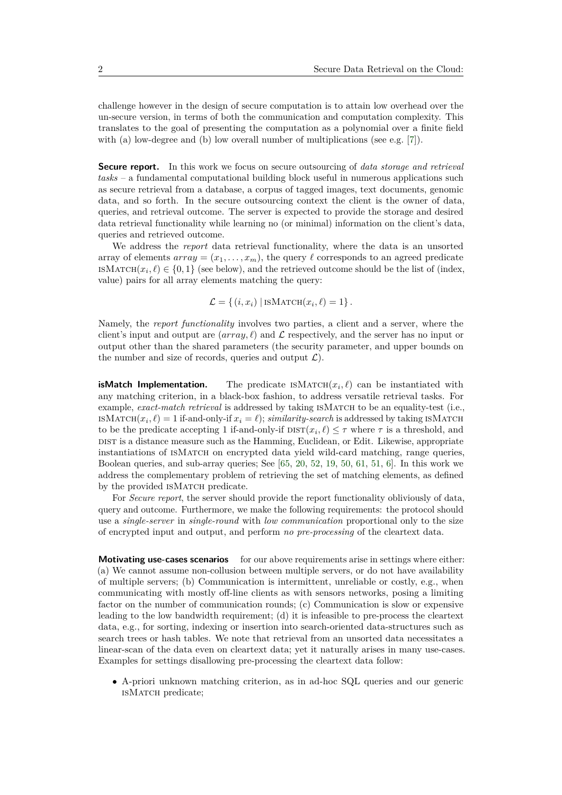challenge however in the design of secure computation is to attain low overhead over the un-secure version, in terms of both the communication and computation complexity. This translates to the goal of presenting the computation as a polynomial over a finite field with (a) low-degree and (b) low overall number of multiplications (see e.g. [\[7\]](#page-20-0)).

**Secure report.** In this work we focus on secure outsourcing of *data storage and retrieval tasks* – a fundamental computational building block useful in numerous applications such as secure retrieval from a database, a corpus of tagged images, text documents, genomic data, and so forth. In the secure outsourcing context the client is the owner of data, queries, and retrieval outcome. The server is expected to provide the storage and desired data retrieval functionality while learning no (or minimal) information on the client's data, queries and retrieved outcome.

We address the *report* data retrieval functionality, where the data is an unsorted array of elements  $array = (x_1, \ldots, x_m)$ , the query  $\ell$  corresponds to an agreed predicate ISMATCH $(x_i, \ell) \in \{0, 1\}$  (see below), and the retrieved outcome should be the list of (index, value) pairs for all array elements matching the query:

$$
\mathcal{L} = \{ (i, x_i) | \text{ISMATCH}(x_i, \ell) = 1 \}.
$$

Namely, the *report functionality* involves two parties, a client and a server, where the client's input and output are  $(array, \ell)$  and  $\mathcal L$  respectively, and the server has no input or output other than the shared parameters (the security parameter, and upper bounds on the number and size of records, queries and output  $\mathcal{L}$ ).

**isMatch Implementation.** The predicate  $\text{ISMATCH}(x_i, \ell)$  can be instantiated with any matching criterion, in a black-box fashion, to address versatile retrieval tasks. For example, *exact-match retrieval* is addressed by taking ISMATCH to be an equality-test (i.e., ISMATCH $(x_i, \ell) = 1$  if-and-only-if  $x_i = \ell$ ; *similarity-search* is addressed by taking ISMATCH to be the predicate accepting 1 if-and-only-if  $\text{DIST}(x_i, \ell) \leq \tau$  where  $\tau$  is a threshold, and DIST is a distance measure such as the Hamming, Euclidean, or Edit. Likewise, appropriate instantiations of ISMATCH on encrypted data yield wild-card matching, range queries, Boolean queries, and sub-array queries; See [\[65,](#page-24-1) [20,](#page-21-0) [52,](#page-23-0) [19,](#page-21-1) [50,](#page-23-1) [61,](#page-24-2) [51,](#page-23-2) [6\]](#page-20-1). In this work we address the complementary problem of retrieving the set of matching elements, as defined by the provided ISMATCH predicate.

For *Secure report*, the server should provide the report functionality obliviously of data, query and outcome. Furthermore, we make the following requirements: the protocol should use a *single-server* in *single-round* with *low communication* proportional only to the size of encrypted input and output, and perform *no pre-processing* of the cleartext data.

**Motivating use-cases scenarios** for our above requirements arise in settings where either: (a) We cannot assume non-collusion between multiple servers, or do not have availability of multiple servers; (b) Communication is intermittent, unreliable or costly, e.g., when communicating with mostly off-line clients as with sensors networks, posing a limiting factor on the number of communication rounds; (c) Communication is slow or expensive leading to the low bandwidth requirement; (d) it is infeasible to pre-process the cleartext data, e.g., for sorting, indexing or insertion into search-oriented data-structures such as search trees or hash tables. We note that retrieval from an unsorted data necessitates a linear-scan of the data even on cleartext data; yet it naturally arises in many use-cases. Examples for settings disallowing pre-processing the cleartext data follow:

• A-priori unknown matching criterion, as in ad-hoc SQL queries and our generic isMatch predicate;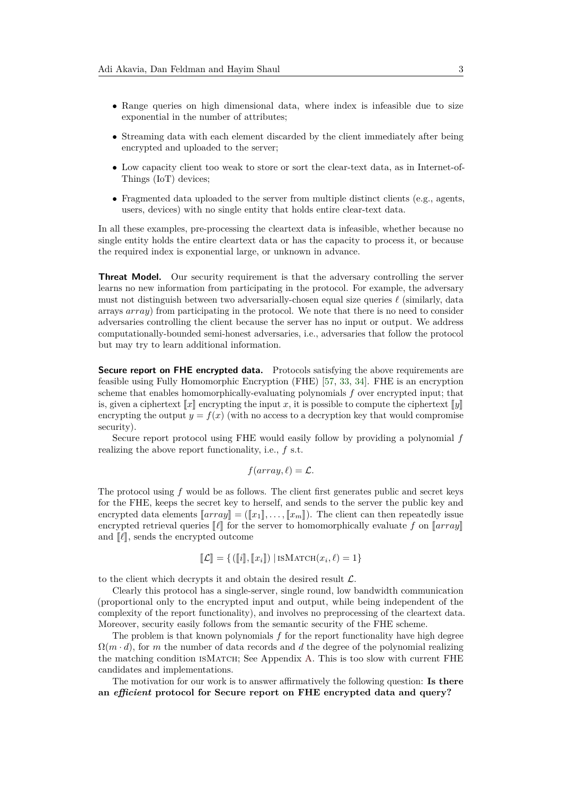- Range queries on high dimensional data, where index is infeasible due to size exponential in the number of attributes;
- Streaming data with each element discarded by the client immediately after being encrypted and uploaded to the server;
- Low capacity client too weak to store or sort the clear-text data, as in Internet-of-Things (IoT) devices;
- Fragmented data uploaded to the server from multiple distinct clients (e.g., agents, users, devices) with no single entity that holds entire clear-text data.

In all these examples, pre-processing the cleartext data is infeasible, whether because no single entity holds the entire cleartext data or has the capacity to process it, or because the required index is exponential large, or unknown in advance.

**Threat Model.** Our security requirement is that the adversary controlling the server learns no new information from participating in the protocol. For example, the adversary must not distinguish between two adversarially-chosen equal size queries  $\ell$  (similarly, data arrays *array*) from participating in the protocol. We note that there is no need to consider adversaries controlling the client because the server has no input or output. We address computationally-bounded semi-honest adversaries, i.e., adversaries that follow the protocol but may try to learn additional information.

**Secure report on FHE encrypted data.** Protocols satisfying the above requirements are feasible using Fully Homomorphic Encryption (FHE) [\[57,](#page-23-3) [33,](#page-22-1) [34\]](#page-22-2). FHE is an encryption scheme that enables homomorphically-evaluating polynomials *f* over encrypted input; that is, given a ciphertext  $\llbracket x \rrbracket$  encrypting the input *x*, it is possible to compute the ciphertext  $\llbracket y \rrbracket$ encrypting the output  $y = f(x)$  (with no access to a decryption key that would compromise security).

Secure report protocol using FHE would easily follow by providing a polynomial *f* realizing the above report functionality, i.e., *f* s.t.

$$
f(array, \ell) = \mathcal{L}.
$$

The protocol using *f* would be as follows. The client first generates public and secret keys for the FHE, keeps the secret key to herself, and sends to the server the public key and encrypted data elements  $\llbracket array \rrbracket = (\llbracket x_1 \rrbracket, \ldots, \llbracket x_m \rrbracket)$ . The client can then repeatedly issue encrypted retrieval queries  $\llbracket \ell \rrbracket$  for the server to homomorphically evaluate *f* on  $\llbracket \arctan \ell \rrbracket$ and  $\llbracket \ell \rrbracket$ , sends the encrypted outcome

$$
\llbracket \mathcal{L} \rrbracket = \{ (\llbracket i \rrbracket, \llbracket x_i \rrbracket) \mid \text{isMatch}(x_i, \ell) = 1 \}
$$

to the client which decrypts it and obtain the desired result  $\mathcal{L}$ .

Clearly this protocol has a single-server, single round, low bandwidth communication (proportional only to the encrypted input and output, while being independent of the complexity of the report functionality), and involves no preprocessing of the cleartext data. Moreover, security easily follows from the semantic security of the FHE scheme.

The problem is that known polynomials *f* for the report functionality have high degree  $\Omega(m \cdot d)$ , for *m* the number of data records and *d* the degree of the polynomial realizing the matching condition isMatch; See Appendix [A.](#page-24-3) This is too slow with current FHE candidates and implementations.

The motivation for our work is to answer affirmatively the following question: **Is there an** *efficient* **protocol for Secure report on FHE encrypted data and query?**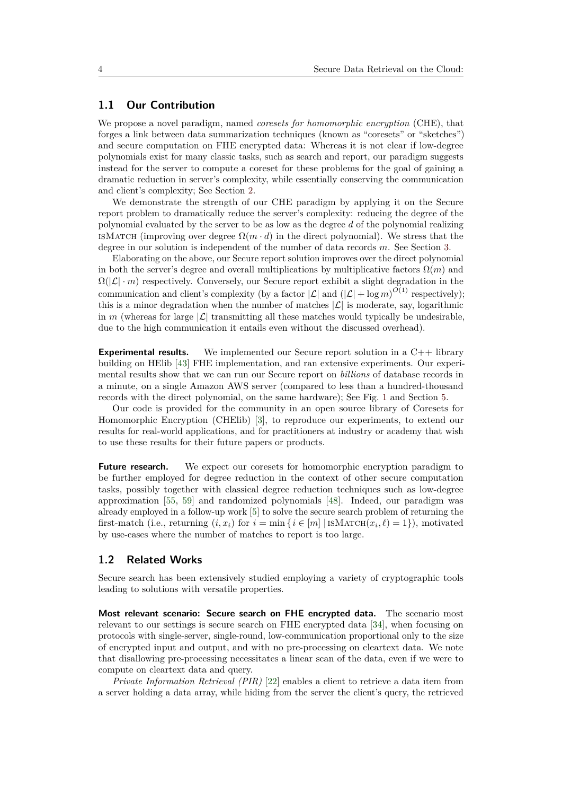# **1.1 Our Contribution**

We propose a novel paradigm, named *coresets for homomorphic encryption* (CHE), that forges a link between data summarization techniques (known as "coresets" or "sketches") and secure computation on FHE encrypted data: Whereas it is not clear if low-degree polynomials exist for many classic tasks, such as search and report, our paradigm suggests instead for the server to compute a coreset for these problems for the goal of gaining a dramatic reduction in server's complexity, while essentially conserving the communication and client's complexity; See Section [2.](#page-5-0)

We demonstrate the strength of our CHE paradigm by applying it on the Secure report problem to dramatically reduce the server's complexity: reducing the degree of the polynomial evaluated by the server to be as low as the degree *d* of the polynomial realizing ISMATCH (improving over degree  $\Omega(m \cdot d)$ ) in the direct polynomial). We stress that the degree in our solution is independent of the number of data records *m*. See Section [3.](#page-7-0)

Elaborating on the above, our Secure report solution improves over the direct polynomial in both the server's degree and overall multiplications by multiplicative factors  $\Omega(m)$  and  $\Omega(|\mathcal{L}| \cdot m)$  respectively. Conversely, our Secure report exhibit a slight degradation in the communication and client's complexity (by a factor  $|\mathcal{L}|$  and  $(|\mathcal{L}| + \log m)^{O(1)}$  respectively); this is a minor degradation when the number of matches  $|\mathcal{L}|$  is moderate, say, logarithmic in *m* (whereas for large  $|\mathcal{L}|$  transmitting all these matches would typically be undesirable, due to the high communication it entails even without the discussed overhead).

**Experimental results.** We implemented our Secure report solution in a C++ library building on HElib [\[43\]](#page-23-4) FHE implementation, and ran extensive experiments. Our experimental results show that we can run our Secure report on *billions* of database records in a minute, on a single Amazon AWS server (compared to less than a hundred-thousand records with the direct polynomial, on the same hardware); See Fig. [1](#page-4-0) and Section [5.](#page-17-0)

Our code is provided for the community in an open source library of Coresets for Homomorphic Encryption (CHElib) [\[3\]](#page-20-2), to reproduce our experiments, to extend our results for real-world applications, and for practitioners at industry or academy that wish to use these results for their future papers or products.

**Future research.** We expect our coresets for homomorphic encryption paradigm to be further employed for degree reduction in the context of other secure computation tasks, possibly together with classical degree reduction techniques such as low-degree approximation [\[55,](#page-23-5) [59\]](#page-24-4) and randomized polynomials [\[48\]](#page-23-6). Indeed, our paradigm was already employed in a follow-up work [\[5\]](#page-20-3) to solve the secure search problem of returning the first-match (i.e., returning  $(i, x_i)$  for  $i = \min\{i \in [m] \mid \text{ISMATCH}(x_i, \ell) = 1\}$ ), motivated by use-cases where the number of matches to report is too large.

## **1.2 Related Works**

Secure search has been extensively studied employing a variety of cryptographic tools leading to solutions with versatile properties.

**Most relevant scenario: Secure search on FHE encrypted data.** The scenario most relevant to our settings is secure search on FHE encrypted data [\[34\]](#page-22-2), when focusing on protocols with single-server, single-round, low-communication proportional only to the size of encrypted input and output, and with no pre-processing on cleartext data. We note that disallowing pre-processing necessitates a linear scan of the data, even if we were to compute on cleartext data and query.

*Private Information Retrieval (PIR)* [\[22\]](#page-21-2) enables a client to retrieve a data item from a server holding a data array, while hiding from the server the client's query, the retrieved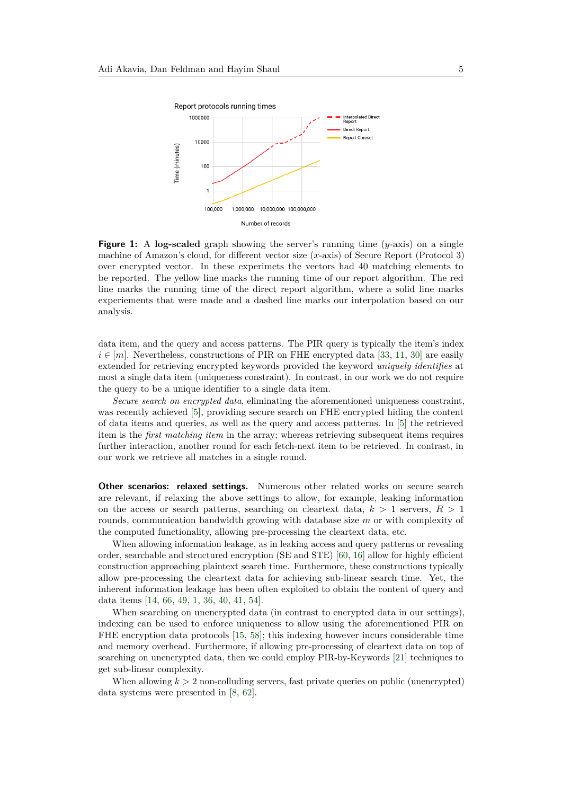<span id="page-4-0"></span>

**Figure 1:** A **log-scaled** graph showing the server's running time (*y*-axis) on a single machine of Amazon's cloud, for different vector size (*x*-axis) of Secure Report (Protocol [3\)](#page-14-0) over encrypted vector. In these experimets the vectors had 40 matching elements to be reported. The yellow line marks the running time of our report algorithm. The red line marks the running time of the direct report algorithm, where a solid line marks experiements that were made and a dashed line marks our interpolation based on our analysis.

data item, and the query and access patterns. The PIR query is typically the item's index  $i \in [m]$ . Nevertheless, constructions of PIR on FHE encrypted data [\[33,](#page-22-1) [11,](#page-20-4) [30\]](#page-22-3) are easily extended for retrieving encrypted keywords provided the keyword *uniquely identifies* at most a single data item (uniqueness constraint). In contrast, in our work we do not require the query to be a unique identifier to a single data item.

*Secure search on encrypted data*, eliminating the aforementioned uniqueness constraint, was recently achieved [\[5\]](#page-20-3), providing secure search on FHE encrypted hiding the content of data items and queries, as well as the query and access patterns. In [\[5\]](#page-20-3) the retrieved item is the *first matching item* in the array; whereas retrieving subsequent items requires further interaction, another round for each fetch-next item to be retrieved. In contrast, in our work we retrieve all matches in a single round.

**Other scenarios: relaxed settings.** Numerous other related works on secure search are relevant, if relaxing the above settings to allow, for example, leaking information on the access or search patterns, searching on cleartext data, *k >* 1 servers, *R >* 1 rounds, communication bandwidth growing with database size *m* or with complexity of the computed functionality, allowing pre-processing the cleartext data, etc.

When allowing information leakage, as in leaking access and query patterns or revealing order, searchable and structured encryption (SE and STE) [\[60,](#page-24-5) [16\]](#page-21-3) allow for highly efficient construction approaching plaintext search time. Furthermore, these constructions typically allow pre-processing the cleartext data for achieving sub-linear search time. Yet, the inherent information leakage has been often exploited to obtain the content of query and data items [\[14,](#page-21-4) [66,](#page-24-6) [49,](#page-23-7) [1,](#page-20-5) [36,](#page-22-4) [40,](#page-22-5) [41,](#page-22-6) [54\]](#page-23-8).

When searching on unencrypted data (in contrast to encrypted data in our settings), indexing can be used to enforce uniqueness to allow using the aforementioned PIR on FHE encryption data protocols [\[15,](#page-21-5) [58\]](#page-23-9); this indexing however incurs considerable time and memory overhead. Furthermore, if allowing pre-processing of cleartext data on top of searching on unencrypted data, then we could employ PIR-by-Keywords [\[21\]](#page-21-6) techniques to get sub-linear complexity.

When allowing  $k > 2$  non-colluding servers, fast private queries on public (unencrypted) data systems were presented in [\[8,](#page-20-6) [62\]](#page-24-7).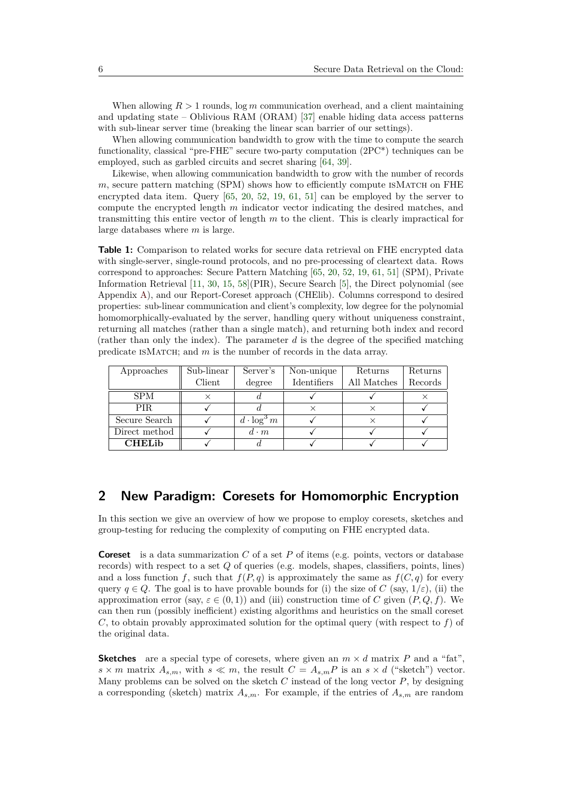When allowing  $R > 1$  rounds,  $\log m$  communication overhead, and a client maintaining and updating state – Oblivious RAM (ORAM) [\[37\]](#page-22-7) enable hiding data access patterns with sub-linear server time (breaking the linear scan barrier of our settings).

When allowing communication bandwidth to grow with the time to compute the search functionality, classical "pre-FHE" secure two-party computation (2PC\*) techniques can be employed, such as garbled circuits and secret sharing [\[64,](#page-24-0) [39\]](#page-22-8).

Likewise, when allowing communication bandwidth to grow with the number of records *m*, secure pattern matching (SPM) shows how to efficiently compute ISMATCH on FHE encrypted data item. Query [\[65,](#page-24-1) [20,](#page-21-0) [52,](#page-23-0) [19,](#page-21-1) [61,](#page-24-2) [51\]](#page-23-2) can be employed by the server to compute the encrypted length *m* indicator vector indicating the desired matches, and transmitting this entire vector of length *m* to the client. This is clearly impractical for large databases where *m* is large.

**Table 1:** Comparison to related works for secure data retrieval on FHE encrypted data with single-server, single-round protocols, and no pre-processing of cleartext data. Rows correspond to approaches: Secure Pattern Matching [\[65,](#page-24-1) [20,](#page-21-0) [52,](#page-23-0) [19,](#page-21-1) [61,](#page-24-2) [51\]](#page-23-2) (SPM), Private Information Retrieval [\[11,](#page-20-4) [30,](#page-22-3) [15,](#page-21-5) [58\]](#page-23-9)(PIR), Secure Search [\[5\]](#page-20-3), the Direct polynomial (see Appendix [A\)](#page-24-3), and our Report-Coreset approach (CHElib). Columns correspond to desired properties: sub-linear communication and client's complexity, low degree for the polynomial homomorphically-evaluated by the server, handling query without uniqueness constraint, returning all matches (rather than a single match), and returning both index and record (rather than only the index). The parameter *d* is the degree of the specified matching predicate isMatch; and *m* is the number of records in the data array.

| Approaches     | Sub-linear | Server's           | Non-unique  | Returns     | Returns |
|----------------|------------|--------------------|-------------|-------------|---------|
|                | Client     | degree             | Identifiers | All Matches | Records |
| <b>SPM</b>     |            |                    |             |             |         |
| PIR.           |            |                    |             |             |         |
| Secure Search  |            | $d \cdot \log^3 m$ |             |             |         |
| Direct method  |            | $d \cdot m$        |             |             |         |
| <b>CHEL</b> ib |            |                    |             |             |         |

# <span id="page-5-0"></span>**2 New Paradigm: Coresets for Homomorphic Encryption**

In this section we give an overview of how we propose to employ coresets, sketches and group-testing for reducing the complexity of computing on FHE encrypted data.

**Coreset** is a data summarization *C* of a set *P* of items (e.g. points, vectors or database records) with respect to a set *Q* of queries (e.g. models, shapes, classifiers, points, lines) and a loss function f, such that  $f(P,q)$  is approximately the same as  $f(C,q)$  for every query  $q \in Q$ . The goal is to have provable bounds for (i) the size of *C* (say,  $1/\varepsilon$ ), (ii) the approximation error (say,  $\varepsilon \in (0,1)$ ) and (iii) construction time of *C* given  $(P,Q,f)$ . We can then run (possibly inefficient) existing algorithms and heuristics on the small coreset *C*, to obtain provably approximated solution for the optimal query (with respect to *f*) of the original data.

**Sketches** are a special type of coresets, where given an  $m \times d$  matrix P and a "fat",  $s \times m$  matrix  $A_{s,m}$ , with  $s \ll m$ , the result  $C = A_{s,m}P$  is an  $s \times d$  ("sketch") vector. Many problems can be solved on the sketch *C* instead of the long vector *P*, by designing a corresponding (sketch) matrix  $A_{s,m}$ . For example, if the entries of  $A_{s,m}$  are random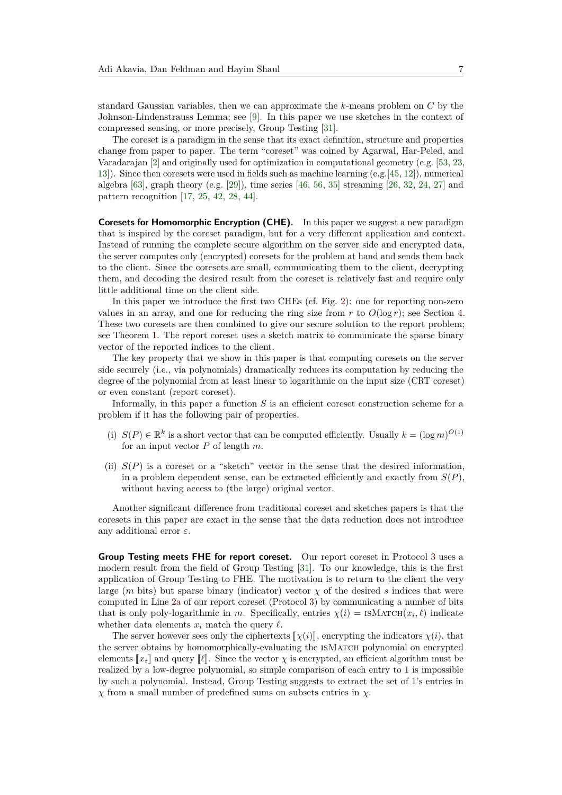standard Gaussian variables, then we can approximate the *k*-means problem on *C* by the Johnson-Lindenstrauss Lemma; see [\[9\]](#page-20-7). In this paper we use sketches in the context of compressed sensing, or more precisely, Group Testing [\[31\]](#page-22-9).

The coreset is a paradigm in the sense that its exact definition, structure and properties change from paper to paper. The term "coreset" was coined by Agarwal, Har-Peled, and Varadarajan [\[2\]](#page-20-8) and originally used for optimization in computational geometry (e.g. [\[53,](#page-23-10) [23,](#page-21-7) [13\]](#page-21-8)). Since then coresets were used in fields such as machine learning (e.g.[\[45,](#page-23-11) [12\]](#page-20-9)), numerical algebra [\[63\]](#page-24-8), graph theory (e.g. [\[29\]](#page-22-10)), time series [\[46,](#page-23-12) [56,](#page-23-13) [35\]](#page-22-11) streaming [\[26,](#page-21-9) [32,](#page-22-12) [24,](#page-21-10) [27\]](#page-21-11) and pattern recognition [\[17,](#page-21-12) [25,](#page-21-13) [42,](#page-23-14) [28,](#page-22-13) [44\]](#page-23-15).

**Coresets for Homomorphic Encryption (CHE).** In this paper we suggest a new paradigm that is inspired by the coreset paradigm, but for a very different application and context. Instead of running the complete secure algorithm on the server side and encrypted data, the server computes only (encrypted) coresets for the problem at hand and sends them back to the client. Since the coresets are small, communicating them to the client, decrypting them, and decoding the desired result from the coreset is relatively fast and require only little additional time on the client side.

In this paper we introduce the first two CHEs (cf. Fig. [2\)](#page-8-0): one for reporting non-zero values in an array, and one for reducing the ring size from  $r$  to  $O(\log r)$ ; see Section [4.](#page-13-0) These two coresets are then combined to give our secure solution to the report problem; see Theorem [1.](#page-10-0) The report coreset uses a sketch matrix to communicate the sparse binary vector of the reported indices to the client.

The key property that we show in this paper is that computing coresets on the server side securely (i.e., via polynomials) dramatically reduces its computation by reducing the degree of the polynomial from at least linear to logarithmic on the input size (CRT coreset) or even constant (report coreset).

Informally, in this paper a function *S* is an efficient coreset construction scheme for a problem if it has the following pair of properties.

- (i)  $S(P) \in \mathbb{R}^k$  is a short vector that can be computed efficiently. Usually  $k = (\log m)^{O(1)}$ for an input vector *P* of length *m*.
- (ii)  $S(P)$  is a coreset or a "sketch" vector in the sense that the desired information, in a problem dependent sense, can be extracted efficiently and exactly from *S*(*P*), without having access to (the large) original vector.

Another significant difference from traditional coreset and sketches papers is that the coresets in this paper are exact in the sense that the data reduction does not introduce any additional error *ε*.

**Group Testing meets FHE for report coreset.** Our report coreset in Protocol [3](#page-14-0) uses a modern result from the field of Group Testing [\[31\]](#page-22-9). To our knowledge, this is the first application of Group Testing to FHE. The motivation is to return to the client the very large (*m* bits) but sparse binary (indicator) vector  $\chi$  of the desired *s* indices that were computed in Line [2a](#page-14-1) of our report coreset (Protocol [3\)](#page-14-0) by communicating a number of bits that is only poly-logarithmic in *m*. Specifically, entries  $\chi(i) = \text{ISMATCH}(x_i, \ell)$  indicate whether data elements  $x_i$  match the query  $\ell$ .

The server however sees only the ciphertexts  $\llbracket \chi(i) \rrbracket$ , encrypting the indicators  $\chi(i)$ , that the server obtains by homomorphically-evaluating the isMatch polynomial on encrypted elements  $[x_i]$  and query  $[\ell]$ . Since the vector  $\chi$  is encrypted, an efficient algorithm must be realized by a low-degree polynomial, so simple comparison of each entry to 1 is impossible by such a polynomial. Instead, Group Testing suggests to extract the set of 1's entries in *χ* from a small number of predefined sums on subsets entries in *χ*.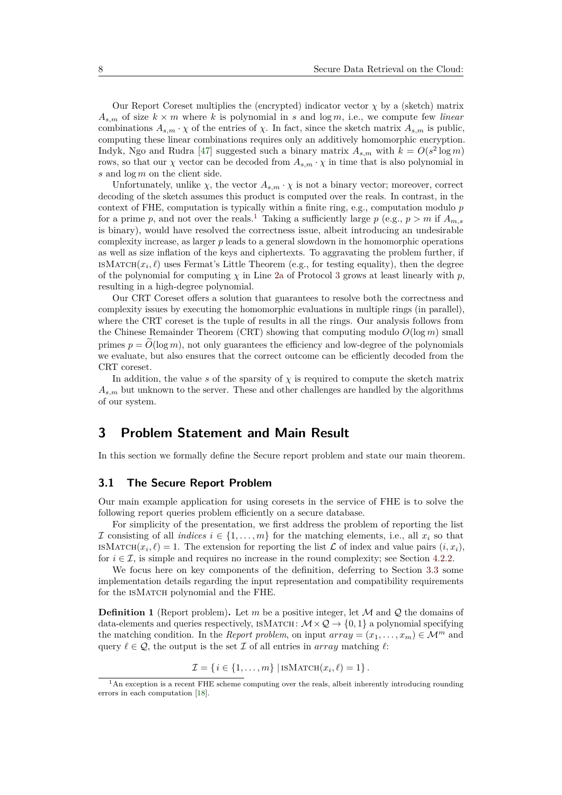Our Report Coreset multiplies the (encrypted) indicator vector  $\chi$  by a (sketch) matrix  $A_{s,m}$  of size  $k \times m$  where  $k$  is polynomial in  $s$  and  $\log m$ , i.e., we compute few *linear* combinations  $A_{s,m} \cdot \chi$  of the entries of  $\chi$ . In fact, since the sketch matrix  $A_{s,m}$  is public, computing these linear combinations requires only an additively homomorphic encryption. Indyk, Ngo and Rudra [\[47\]](#page-23-16) suggested such a binary matrix  $A_{s,m}$  with  $k = O(s^2 \log m)$ rows, so that our *χ* vector can be decoded from  $A_{s,m} \cdot \chi$  in time that is also polynomial in *s* and log *m* on the client side.

Unfortunately, unlike  $\chi$ , the vector  $A_{s,m} \cdot \chi$  is not a binary vector; moreover, correct decoding of the sketch assumes this product is computed over the reals. In contrast, in the context of FHE, computation is typically within a finite ring, e.g., computation modulo *p* for a prime *p*, and not over the reals.<sup>[1](#page-7-1)</sup> Taking a sufficiently large *p* (e.g.,  $p > m$  if  $A_{m,s}$ is binary), would have resolved the correctness issue, albeit introducing an undesirable complexity increase, as larger *p* leads to a general slowdown in the homomorphic operations as well as size inflation of the keys and ciphertexts. To aggravating the problem further, if ISMATCH $(x_i, \ell)$  uses Fermat's Little Theorem (e.g., for testing equality), then the degree of the polynomial for computing  $\chi$  in Line [2a](#page-14-1) of Protocol [3](#page-14-0) grows at least linearly with p. resulting in a high-degree polynomial.

Our CRT Coreset offers a solution that guarantees to resolve both the correctness and complexity issues by executing the homomorphic evaluations in multiple rings (in parallel), where the CRT coreset is the tuple of results in all the rings. Our analysis follows from the Chinese Remainder Theorem (CRT) showing that computing modulo  $O(\log m)$  small primes  $p = \tilde{O}(\log m)$ , not only guarantees the efficiency and low-degree of the polynomials we evaluate, but also ensures that the correct outcome can be efficiently decoded from the CRT coreset.

In addition, the value *s* of the sparsity of  $\chi$  is required to compute the sketch matrix  $A_{s,m}$  but unknown to the server. These and other challenges are handled by the algorithms of our system.

# <span id="page-7-0"></span>**3 Problem Statement and Main Result**

In this section we formally define the Secure report problem and state our main theorem.

### <span id="page-7-3"></span>**3.1 The Secure Report Problem**

Our main example application for using coresets in the service of FHE is to solve the following report queries problem efficiently on a secure database.

For simplicity of the presentation, we first address the problem of reporting the list If consisting of all *indices*  $i \in \{1, \ldots, m\}$  for the matching elements, i.e., all  $x_i$  so that ISMATCH $(x_i, \ell) = 1$ . The extension for reporting the list  $\mathcal L$  of index and value pairs  $(i, x_i)$ , for  $i \in \mathcal{I}$ , is simple and requires no increase in the round complexity; see Section [4.2.2.](#page-15-0)

We focus here on key components of the definition, deferring to Section [3.3](#page-11-0) some implementation details regarding the input representation and compatibility requirements for the ISMATCH polynomial and the FHE.

<span id="page-7-2"></span>**Definition 1** (Report problem). Let *m* be a positive integer, let  $M$  and  $Q$  the domains of data-elements and queries respectively, ISMATCH:  $\mathcal{M} \times \mathcal{Q} \rightarrow \{0, 1\}$  a polynomial specifying the matching condition. In the *Report problem*, on input  $array = (x_1, \ldots, x_m) \in \mathcal{M}^m$  and query  $\ell \in \mathcal{Q}$ , the output is the set  $\mathcal I$  of all entries in *array* matching  $\ell$ :

$$
\mathcal{I} = \{ i \in \{1, \ldots, m\} \mid \text{ISMATCH}(x_i, \ell) = 1 \}.
$$

<span id="page-7-1"></span> $<sup>1</sup>$ An exception is a recent FHE scheme computing over the reals, albeit inherently introducing rounding</sup> errors in each computation [\[18\]](#page-21-14).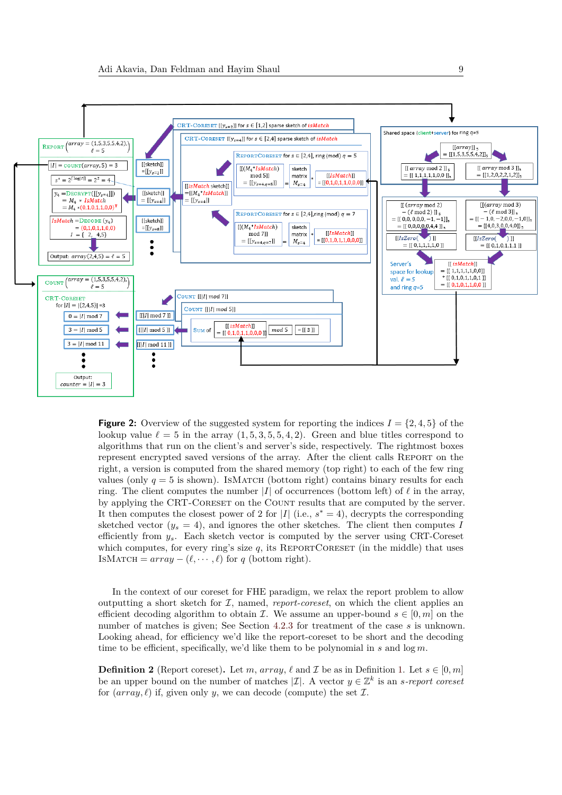<span id="page-8-0"></span>

**Figure 2:** Overview of the suggested system for reporting the indices  $I = \{2, 4, 5\}$  of the lookup value  $\ell = 5$  in the array  $(1, 5, 3, 5, 5, 4, 2)$ . Green and blue titles correspond to algorithms that run on the client's and server's side, respectively. The rightmost boxes represent encrypted saved versions of the array. After the client calls Report on the right, a version is computed from the shared memory (top right) to each of the few ring values (only  $q = 5$  is shown). ISMATCH (bottom right) contains binary results for each ring. The client computes the number  $|I|$  of occurrences (bottom left) of  $\ell$  in the array, by applying the CRT-Coreset on the Count results that are computed by the server. It then computes the closest power of 2 for  $|I|$  (i.e.,  $s^* = 4$ ), decrypts the corresponding sketched vector  $(y_s = 4)$ , and ignores the other sketches. The client then computes *I* efficiently from *ys*. Each sketch vector is computed by the server using CRT-Coreset which computes, for every ring's size  $q$ , its REPORTCORESET (in the middle) that uses ISMATCH =  $array - (\ell, \cdots, \ell)$  for *q* (bottom right).

In the context of our coreset for FHE paradigm, we relax the report problem to allow outputting a short sketch for  $I$ , named, *report-coreset*, on which the client applies an efficient decoding algorithm to obtain *I*. We assume an upper-bound  $s \in [0, m]$  on the number of matches is given; See Section [4.2.3](#page-16-0) for treatment of the case *s* is unknown. Looking ahead, for efficiency we'd like the report-coreset to be short and the decoding time to be efficient, specifically, we'd like them to be polynomial in *s* and log *m*.

<span id="page-8-1"></span>**Definition 2** (Report coreset). Let *m*, *array*,  $\ell$  and  $\mathcal{I}$  be as in Definition [1.](#page-7-2) Let  $s \in [0, m]$ be an upper bound on the number of matches  $|\mathcal{I}|$ . A vector  $y \in \mathbb{Z}^k$  is an *s*-report coreset for  $(array, \ell)$  if, given only *y*, we can decode (compute) the set  $\mathcal{I}$ .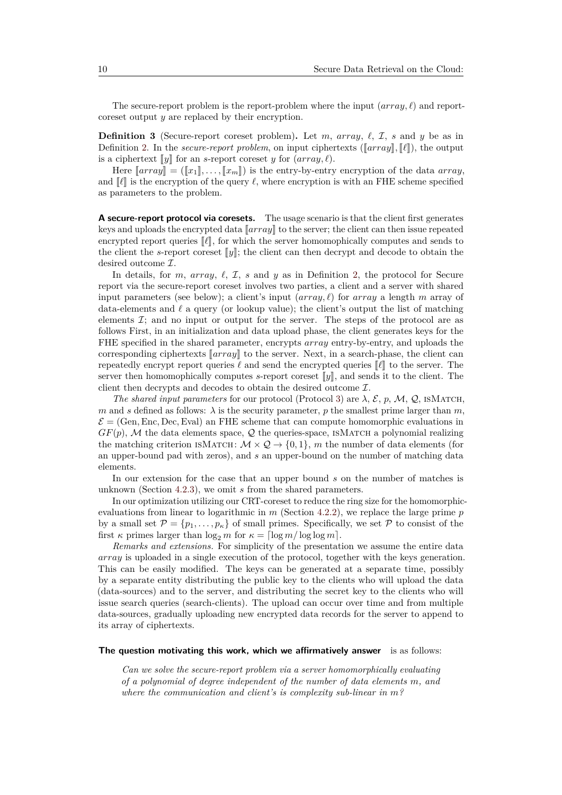The secure-report problem is the report-problem where the input  $(array, \ell)$  and reportcoreset output *y* are replaced by their encryption.

<span id="page-9-0"></span>**Definition 3** (Secure-report coreset problem). Let *m*, *array*,  $\ell$ ,  $\mathcal{I}$ , *s* and *y* be as in Definition [2.](#page-8-1) In the *secure-report problem*, on input ciphertexts ( $\lceil \arctan \rceil$ ,  $\lceil \ell \rceil$ ), the output is a ciphertext  $\llbracket y \rrbracket$  for an *s*-report coreset *y* for  $(array, \ell)$ .

Here  $\llbracket array \rrbracket = (\llbracket x_1 \rrbracket, \ldots, \llbracket x_m \rrbracket)$  is the entry-by-entry encryption of the data *array*, and  $\llbracket \ell \rrbracket$  is the encryption of the query  $\ell$ , where encryption is with an FHE scheme specified as parameters to the problem.

**A secure-report protocol via coresets.** The usage scenario is that the client first generates keys and uploads the encrypted data  $\llbracket array \rrbracket$  to the server; the client can then issue repeated encrypted report queries  $\llbracket \ell \rrbracket$ , for which the server homomophically computes and sends to the client the *s*-report coreset  $\llbracket y \rrbracket$ ; the client can then decrypt and decode to obtain the desired outcome I.

In details, for *m*, *array*,  $\ell$ ,  $\mathcal{I}$ , *s* and *y* as in Definition [2,](#page-8-1) the protocol for Secure report via the secure-report coreset involves two parties, a client and a server with shared input parameters (see below); a client's input  $(array, \ell)$  for  $array \space a$  length *m* array of data-elements and  $\ell$  a query (or lookup value); the client's output the list of matching elements  $\mathcal{I}$ ; and no input or output for the server. The steps of the protocol are as follows First, in an initialization and data upload phase, the client generates keys for the FHE specified in the shared parameter, encrypts *array* entry-by-entry, and uploads the corresponding ciphertexts  $\llbracket array \rrbracket$  to the server. Next, in a search-phase, the client can repeatedly encrypt report queries  $\ell$  and send the encrypted queries  $\ell$  to the server. The server then homomophically computes  $s$ -report coreset  $\llbracket y \rrbracket$ , and sends it to the client. The client then decrypts and decodes to obtain the desired outcome I.

*The shared input parameters* for our protocol (Protocol [3\)](#page-14-0) are  $\lambda$ , E, p, M, Q, ISMATCH, *m* and *s* defined as follows:  $\lambda$  is the security parameter, *p* the smallest prime larger than *m*,  $\mathcal{E} = (Gen, Enc, Dec,Eval)$  an FHE scheme that can compute homomorphic evaluations in  $GF(p)$ , M the data elements space, Q the queries-space, ISMATCH a polynomial realizing the matching criterion ISMATCH:  $\mathcal{M} \times \mathcal{Q} \rightarrow \{0,1\}$ , m the number of data elements (for an upper-bound pad with zeros), and *s* an upper-bound on the number of matching data elements.

In our extension for the case that an upper bound *s* on the number of matches is unknown (Section [4.2.3\)](#page-16-0), we omit *s* from the shared parameters.

In our optimization utilizing our CRT-coreset to reduce the ring size for the homomorphicevaluations from linear to logarithmic in *m* (Section [4.2.2\)](#page-15-0), we replace the large prime *p* by a small set  $\mathcal{P} = \{p_1, \ldots, p_k\}$  of small primes. Specifically, we set P to consist of the first  $\kappa$  primes larger than  $\log_2 m$  for  $\kappa = \log m / \log \log m$ .

*Remarks and extensions.* For simplicity of the presentation we assume the entire data *array* is uploaded in a single execution of the protocol, together with the keys generation. This can be easily modified. The keys can be generated at a separate time, possibly by a separate entity distributing the public key to the clients who will upload the data (data-sources) and to the server, and distributing the secret key to the clients who will issue search queries (search-clients). The upload can occur over time and from multiple data-sources, gradually uploading new encrypted data records for the server to append to its array of ciphertexts.

#### **The question motivating this work, which we affirmatively answer** is as follows:

*Can we solve the secure-report problem via a server homomorphically evaluating of a polynomial of degree independent of the number of data elements m, and where the communication and client's is complexity sub-linear in m?*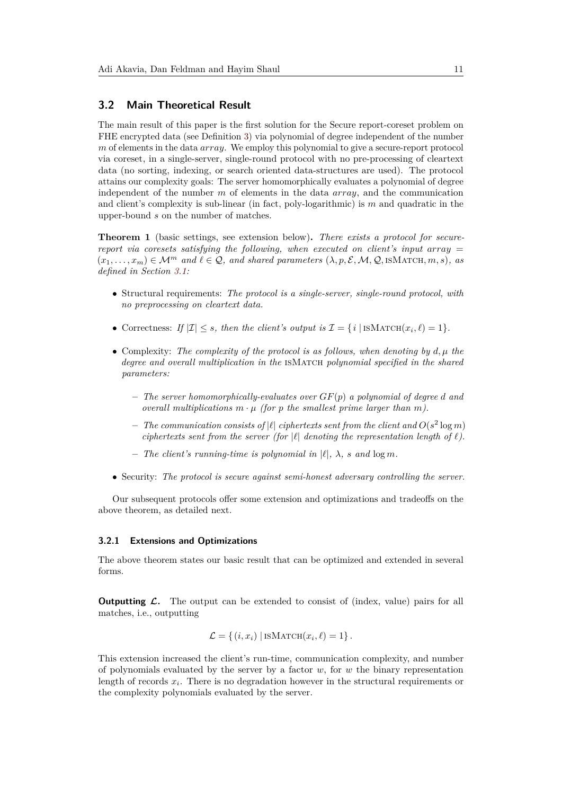### **3.2 Main Theoretical Result**

The main result of this paper is the first solution for the Secure report-coreset problem on FHE encrypted data (see Definition [3\)](#page-9-0) via polynomial of degree independent of the number *m* of elements in the data *array*. We employ this polynomial to give a secure-report protocol via coreset, in a single-server, single-round protocol with no pre-processing of cleartext data (no sorting, indexing, or search oriented data-structures are used). The protocol attains our complexity goals: The server homomorphically evaluates a polynomial of degree independent of the number *m* of elements in the data *array*, and the communication and client's complexity is sub-linear (in fact, poly-logarithmic) is *m* and quadratic in the upper-bound *s* on the number of matches.

<span id="page-10-0"></span>**Theorem 1** (basic settings, see extension below)**.** *There exists a protocol for securereport via coresets satisfying the following, when executed on client's input array* =  $(x_1, \ldots, x_m) \in \mathcal{M}^m$  and  $\ell \in \mathcal{Q}$ , and shared parameters  $(\lambda, p, \mathcal{E}, \mathcal{M}, \mathcal{Q}, \text{ISMATCH}, m, s)$ , as *defined in Section [3.1:](#page-7-3)*

- Structural requirements: *The protocol is a single-server, single-round protocol, with no preprocessing on cleartext data.*
- Correctness: If  $|\mathcal{I}| \leq s$ , then the client's output is  $\mathcal{I} = \{i \mid \text{ISMATCH}(x_i, \ell) = 1\}.$
- Complexity: *The complexity of the protocol is as follows, when denoting by d, µ the degree and overall multiplication in the* isMatch *polynomial specified in the shared parameters:*
	- **–** *The server homomorphically-evaluates over GF*(*p*) *a polynomial of degree d and overall multiplications*  $m \cdot \mu$  *(for p the smallest prime larger than m).*
	- $-$  *The communication consists of*  $|\ell|$  *ciphertexts sent from the client and*  $O(s^2 \log m)$ *ciphertexts sent from the server (for*  $|\ell|$  *denoting the representation length of*  $\ell$ *).*
	- $-$  *The client's running-time is polynomial in*  $|\ell|$ ,  $\lambda$ *, s and*  $\log m$ *.*
- Security: *The protocol is secure against semi-honest adversary controlling the server.*

Our subsequent protocols offer some extension and optimizations and tradeoffs on the above theorem, as detailed next.

#### **3.2.1 Extensions and Optimizations**

The above theorem states our basic result that can be optimized and extended in several forms.

**Outputting L.** The output can be extended to consist of (index, value) pairs for all matches, i.e., outputting

$$
\mathcal{L} = \{ (i, x_i) | \text{ISMATCH}(x_i, \ell) = 1 \}.
$$

This extension increased the client's run-time, communication complexity, and number of polynomials evaluated by the server by a factor *w*, for *w* the binary representation length of records  $x_i$ . There is no degradation however in the structural requirements or the complexity polynomials evaluated by the server.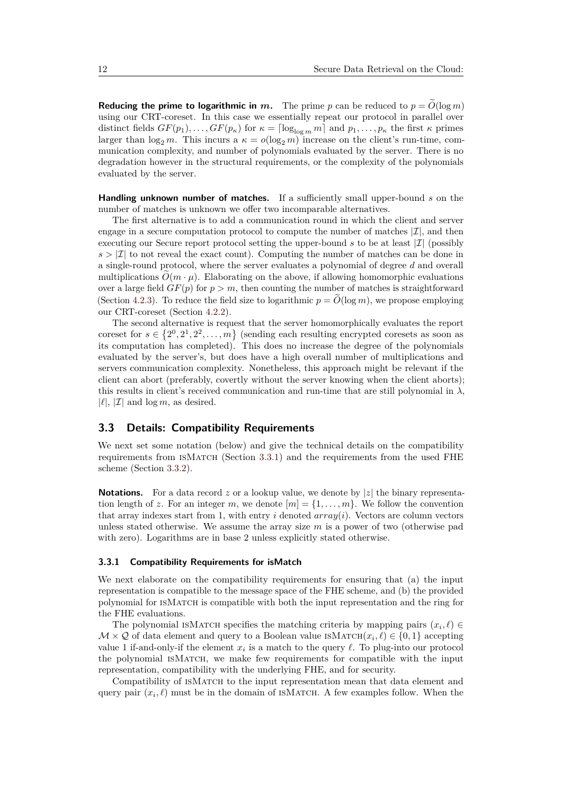**Reducing the prime to logarithmic in** *m*. The prime *p* can be reduced to  $p = O(\log m)$ using our CRT-coreset. In this case we essentially repeat our protocol in parallel over distinct fields  $GF(p_1), \ldots, GF(p_\kappa)$  for  $\kappa = \lceil \log_{\log m} m \rceil$  and  $p_1, \ldots, p_\kappa$  the first  $\kappa$  primes larger than  $\log_2 m$ . This incurs a  $\kappa = o(\log_2 m)$  increase on the client's run-time, communication complexity, and number of polynomials evaluated by the server. There is no degradation however in the structural requirements, or the complexity of the polynomials evaluated by the server.

**Handling unknown number of matches.** If a sufficiently small upper-bound *s* on the number of matches is unknown we offer two incomparable alternatives.

The first alternative is to add a communication round in which the client and server engage in a secure computation protocol to compute the number of matches  $|\mathcal{I}|$ , and then executing our Secure report protocol setting the upper-bound  $s$  to be at least  $|\mathcal{I}|$  (possibly  $s > |\mathcal{I}|$  to not reveal the exact count). Computing the number of matches can be done in a single-round protocol, where the server evaluates a polynomial of degree *d* and overall multiplications  $\tilde{O}(m \cdot \mu)$ . Elaborating on the above, if allowing homomorphic evaluations over a large field  $GF(p)$  for  $p > m$ , then counting the number of matches is straightforward (Section [4.2.3\)](#page-16-0). To reduce the field size to logarithmic  $p = O(\log m)$ , we propose employing our CRT-coreset (Section [4.2.2\)](#page-15-0).

The second alternative is request that the server homomorphically evaluates the report coreset for  $s \in \{2^0, 2^1, 2^2, \ldots, m\}$  (sending each resulting encrypted coresets as soon as its computation has completed). This does no increase the degree of the polynomials evaluated by the server's, but does have a high overall number of multiplications and servers communication complexity. Nonetheless, this approach might be relevant if the client can abort (preferably, covertly without the server knowing when the client aborts); this results in client's received communication and run-time that are still polynomial in  $\lambda$ ,  $|\ell|, |\mathcal{I}|$  and  $\log m$ , as desired.

### <span id="page-11-0"></span>**3.3 Details: Compatibility Requirements**

We next set some notation (below) and give the technical details on the compatibility requirements from ISMATCH (Section [3.3.1\)](#page-11-1) and the requirements from the used FHE scheme (Section [3.3.2\)](#page-12-0).

**Notations.** For a data record z or a lookup value, we denote by |z| the binary representation length of *z*. For an integer *m*, we denote  $[m] = \{1, \ldots, m\}$ . We follow the convention that array indexes start from 1, with entry  $i$  denoted  $array(i)$ . Vectors are column vectors unless stated otherwise. We assume the array size *m* is a power of two (otherwise pad with zero). Logarithms are in base 2 unless explicitly stated otherwise.

### <span id="page-11-1"></span>**3.3.1 Compatibility Requirements for isMatch**

We next elaborate on the compatibility requirements for ensuring that (a) the input representation is compatible to the message space of the FHE scheme, and (b) the provided polynomial for isMatch is compatible with both the input representation and the ring for the FHE evaluations.

The polynomial ISMATCH specifies the matching criteria by mapping pairs  $(x_i, \ell) \in$  $M \times Q$  of data element and query to a Boolean value ISMATCH $(x_i, \ell) \in \{0, 1\}$  accepting value 1 if-and-only-if the element  $x_i$  is a match to the query  $\ell$ . To plug-into our protocol the polynomial isMatch, we make few requirements for compatible with the input representation, compatibility with the underlying FHE, and for security.

Compatibility of ISMATCH to the input representation mean that data element and query pair  $(x_i, \ell)$  must be in the domain of ISMATCH. A few examples follow. When the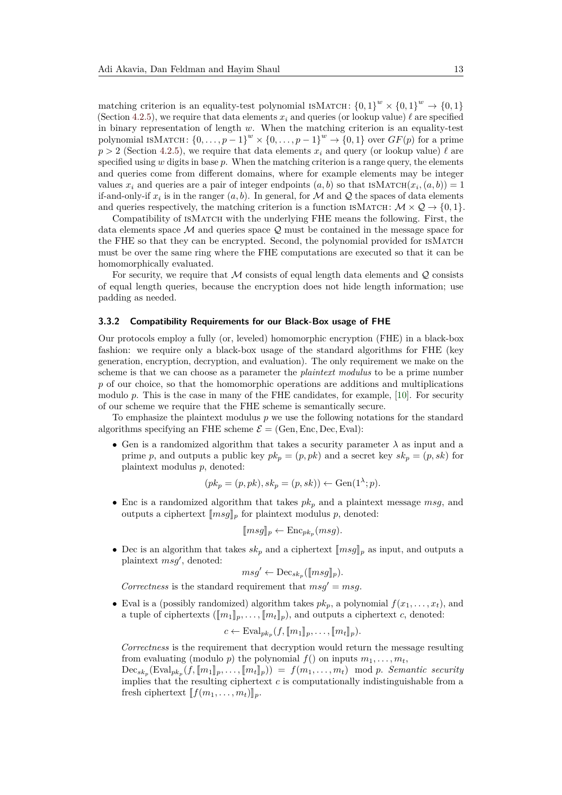matching criterion is an equality-test polynomial ISMATCH:  ${0,1}^w \times {0,1}^w \rightarrow {0,1}$ (Section [4.2.5\)](#page-17-1), we require that data elements  $x_i$  and queries (or lookup value)  $\ell$  are specified in binary representation of length *w*. When the matching criterion is an equality-test polynomial ISMATCH:  $\{0, \ldots, p-1\}^w \times \{0, \ldots, p-1\}^w \to \{0, 1\}$  over  $GF(p)$  for a prime  $p > 2$  (Section [4.2.5\)](#page-17-1), we require that data elements  $x_i$  and query (or lookup value)  $\ell$  are specified using *w* digits in base *p*. When the matching criterion is a range query, the elements and queries come from different domains, where for example elements may be integer values  $x_i$  and queries are a pair of integer endpoints  $(a, b)$  so that  $\text{ISMATCH}(x_i, (a, b)) = 1$ if-and-only-if  $x_i$  is in the ranger  $(a, b)$ . In general, for M and Q the spaces of data elements and queries respectively, the matching criterion is a function ISMATCH:  $\mathcal{M} \times \mathcal{Q} \rightarrow \{0, 1\}$ .

Compatibility of ISMATCH with the underlying FHE means the following. First, the data elements space  $\mathcal M$  and queries space  $\mathcal Q$  must be contained in the message space for the FHE so that they can be encrypted. Second, the polynomial provided for isMatch must be over the same ring where the FHE computations are executed so that it can be homomorphically evaluated.

For security, we require that M consists of equal length data elements and  $\mathcal Q$  consists of equal length queries, because the encryption does not hide length information; use padding as needed.

#### <span id="page-12-0"></span>**3.3.2 Compatibility Requirements for our Black-Box usage of FHE**

Our protocols employ a fully (or, leveled) homomorphic encryption (FHE) in a black-box fashion: we require only a black-box usage of the standard algorithms for FHE (key generation, encryption, decryption, and evaluation). The only requirement we make on the scheme is that we can choose as a parameter the *plaintext modulus* to be a prime number p of our choice, so that the homomorphic operations are additions and multiplications modulo p. This is the case in many of the FHE candidates, for example, [\[10\]](#page-20-10). For security of our scheme we require that the FHE scheme is semantically secure.

To emphasize the plaintext modulus *p* we use the following notations for the standard algorithms specifying an FHE scheme  $\mathcal{E} = (\text{Gen}, \text{Enc}, \text{Dec}, \text{Eval})$ :

• Gen is a randomized algorithm that takes a security parameter *λ* as input and a prime *p*, and outputs a public key  $pk_p = (p, pk)$  and a secret key  $sk_p = (p, sk)$  for plaintext modulus *p*, denoted:

$$
(pk_p = (p, pk), sk_p = (p, sk)) \leftarrow Gen(1^{\lambda}; p).
$$

• Enc is a randomized algorithm that takes  $pk_p$  and a plaintext message  $msg$ , and outputs a ciphertext  $\llbracket msg \rrbracket_p$  for plaintext modulus p, denoted:

$$
[\![msg]\!]_p \leftarrow \mathrm{Enc}_{pk_p}(msg).
$$

• Dec is an algorithm that takes  $sk_p$  and a ciphertext  $[\![msg]\!]_p$  as input, and outputs a plaintext  $msg'$ , denoted:

$$
msg' \leftarrow \mathrm{Dec}_{sk_p}([\![msg]\!]_p).
$$

*Correctness* is the standard requirement that  $msg' = msg$ .

• Eval is a (possibly randomized) algorithm takes  $pk_p$ , a polynomial  $f(x_1, \ldots, x_t)$ , and a tuple of ciphertexts  $([m_1]_p, \ldots, [m_t]_p)$ , and outputs a ciphertext *c*, denoted:

$$
c \leftarrow \mathrm{Eval}_{pk_p}(f, [\![m_1]\!]_p, \ldots, [\![m_t]\!]_p).
$$

*Correctness* is the requirement that decryption would return the message resulting from evaluating (modulo *p*) the polynomial  $f()$  on inputs  $m_1, \ldots, m_t$ ,

 $\text{Dec}_{sk_p}(\text{Eval}_{pk_p}(f, [\![m_1]\!]_p, \ldots, [\![m_t]\!]_p)) = f(m_1, \ldots, m_t) \mod p$ . Semantic security<br>
implies that the resulting eighertout a is computationally indictinguished from a implies that the resulting ciphertext *c* is computationally indistinguishable from a fresh ciphertext  $[f(m_1, \ldots, m_t)]_p$ .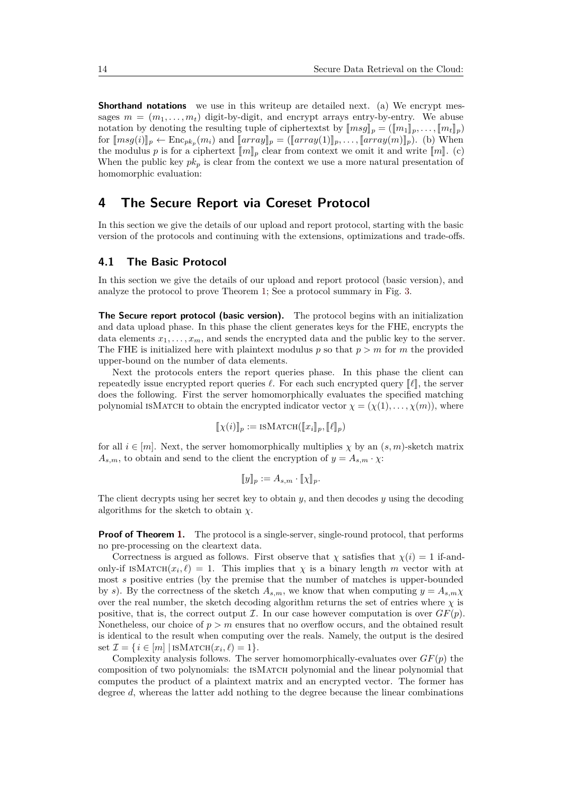**Shorthand notations** we use in this writeup are detailed next. (a) We encrypt messages  $m = (m_1, \ldots, m_t)$  digit-by-digit, and encrypt arrays entry-by-entry. We abuse notation by denoting the resulting tuple of ciphertextst by  $\llbracket msg \rrbracket_p = (\llbracket m_1 \rrbracket_p, \ldots, \llbracket m_t \rrbracket_p)$ for  $[\text{msg}(i)]_p \leftarrow \text{Enc}_{pk_p}(m_i)$  and  $[\text{array}]\_p = (\llbracket array(1) \rrbracket_p, \ldots, [\text{array}(m)]_p)$ . (b) When<br>the modulus p is for a ciphertext  $[\text{rel}]$  close from context we omit it and write  $[\text{rel}]_p$ . (c) the modulus *p* is for a ciphertext  $[\![m]\!]_p$  clear from context we omit it and write  $[\![m]\!]$ . (c) When the public key  $pk_p$  is clear from the context we use a more natural presentation of homomorphic evaluation:

# <span id="page-13-0"></span>**4 The Secure Report via Coreset Protocol**

In this section we give the details of our upload and report protocol, starting with the basic version of the protocols and continuing with the extensions, optimizations and trade-offs.

### **4.1 The Basic Protocol**

In this section we give the details of our upload and report protocol (basic version), and analyze the protocol to prove Theorem [1;](#page-10-0) See a protocol summary in Fig. [3.](#page-14-0)

**The Secure report protocol (basic version).** The protocol begins with an initialization and data upload phase. In this phase the client generates keys for the FHE, encrypts the data elements  $x_1, \ldots, x_m$ , and sends the encrypted data and the public key to the server. The FHE is initialized here with plaintext modulus *p* so that *p > m* for *m* the provided upper-bound on the number of data elements.

Next the protocols enters the report queries phase. In this phase the client can repeatedly issue encrypted report queries  $\ell$ . For each such encrypted query  $\llbracket \ell \rrbracket$ , the server does the following. First the server homomorphically evaluates the specified matching polynomial ISMATCH to obtain the encrypted indicator vector  $\chi = (\chi(1), \ldots, \chi(m))$ , where

$$
[\![\chi(i)]\!]_p := \text{iSMat}(\llbracket x_i \rrbracket_p, [\![\ell]\!]_p)
$$

for all  $i \in [m]$ . Next, the server homomorphically multiplies  $\chi$  by an  $(s, m)$ -sketch matrix  $A_{s,m}$ , to obtain and send to the client the encryption of  $y = A_{s,m} \cdot \chi$ :

$$
[\![y]\!]_p := A_{s,m} \cdot [\![\chi]\!]_p.
$$

The client decrypts using her secret key to obtain *y*, and then decodes *y* using the decoding algorithms for the sketch to obtain *χ*.

**Proof of Theorem [1.](#page-10-0)** The protocol is a single-server, single-round protocol, that performs no pre-processing on the cleartext data.

Correctness is argued as follows. First observe that  $\chi$  satisfies that  $\chi(i) = 1$  if-andonly-if ISMATCH $(x_i, \ell) = 1$ . This implies that  $\chi$  is a binary length *m* vector with at most *s* positive entries (by the premise that the number of matches is upper-bounded by *s*). By the correctness of the sketch  $A_{s,m}$ , we know that when computing  $y = A_{s,m}\chi$ over the real number, the sketch decoding algorithm returns the set of entries where  $\chi$  is positive, that is, the correct output  $\mathcal I$ . In our case however computation is over  $GF(p)$ . Nonetheless, our choice of  $p > m$  ensures that no overflow occurs, and the obtained result is identical to the result when computing over the reals. Namely, the output is the desired set  $\mathcal{I} = \{i \in [m] | \text{ISMATCH}(x_i, \ell) = 1\}.$ 

Complexity analysis follows. The server homomorphically-evaluates over *GF*(*p*) the composition of two polynomials: the ISMATCH polynomial and the linear polynomial that computes the product of a plaintext matrix and an encrypted vector. The former has degree *d*, whereas the latter add nothing to the degree because the linear combinations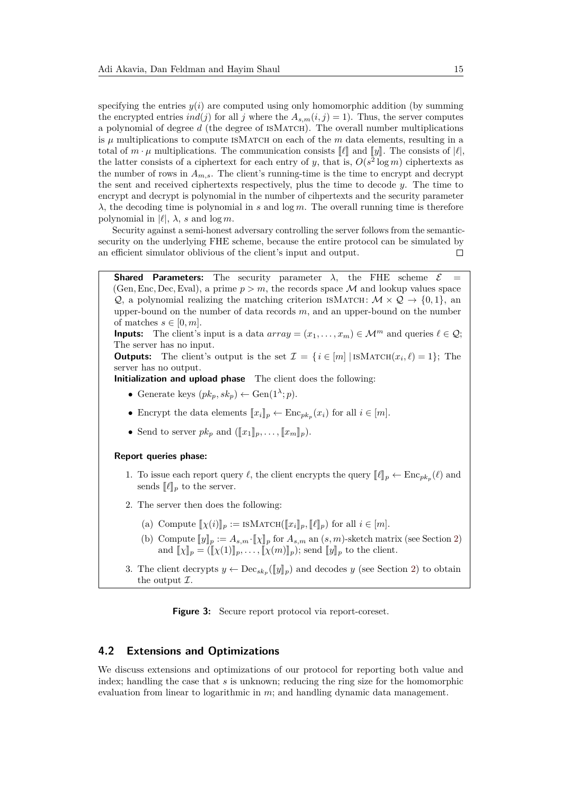specifying the entries  $y(i)$  are computed using only homomorphic addition (by summing the encrypted entries *ind*(*j*) for all *j* where the  $A_{s,m}(i,j) = 1$ . Thus, the server computes a polynomial of degree *d* (the degree of isMatch). The overall number multiplications is  $\mu$  multiplications to compute ISMATCH on each of the  $m$  data elements, resulting in a total of  $m \cdot \mu$  multiplications. The communication consists  $\llbracket \ell \rrbracket$  and  $\llbracket \nu \rrbracket$ . The consists of  $|\ell|$ , the latter consists of a ciphertext for each entry of *y*, that is,  $O(s^2 \log m)$  ciphertexts as the number of rows in  $A_{m,s}$ . The client's running-time is the time to encrypt and decrypt the sent and received ciphertexts respectively, plus the time to decode *y*. The time to encrypt and decrypt is polynomial in the number of cihpertexts and the security parameter *λ*, the decoding time is polynomial in *s* and log *m*. The overall running time is therefore polynomial in  $|\ell|$ ,  $\lambda$ , *s* and log *m*.

Security against a semi-honest adversary controlling the server follows from the semanticsecurity on the underlying FHE scheme, because the entire protocol can be simulated by an efficient simulator oblivious of the client's input and output.  $\Box$ 

<span id="page-14-0"></span>**Shared Parameters:** The security parameter  $\lambda$ , the FHE scheme  $\mathcal{E}$ (Gen, Enc, Dec, Eval), a prime  $p > m$ , the records space M and lookup values space Q, a polynomial realizing the matching criterion ISMATCH:  $\mathcal{M} \times \mathcal{Q} \rightarrow \{0, 1\}$ , and upper-bound on the number of data records *m*, and an upper-bound on the number of matches  $s \in [0, m]$ .

**Inputs:** The client's input is a data  $array = (x_1, \ldots, x_m) \in \mathcal{M}^m$  and queries  $\ell \in \mathcal{Q}$ ; The server has no input.

**Outputs:** The client's output is the set  $\mathcal{I} = \{i \in [m] \mid \text{ISMATCH}(x_i, \ell) = 1\};$  The server has no output.

**Initialization and upload phase** The client does the following:

- Generate keys  $(pk_p, sk_p) \leftarrow \text{Gen}(1^{\lambda}; p)$ .
- Encrypt the data elements  $[x_i]_p \leftarrow \text{Enc}_{pk_p}(x_i)$  for all  $i \in [m]$ .
- Send to server  $pk_p$  and  $(\llbracket x_1 \rrbracket_p, \ldots, \llbracket x_m \rrbracket_p).$

#### **Report queries phase:**

- 1. To issue each report query  $\ell$ , the client encrypts the query  $\llbracket \ell \rrbracket_p \leftarrow \text{Enc}_{pk_p}(\ell)$  and sonds  $\llbracket \ell \rrbracket$  to the server sends  $\llbracket \ell \rrbracket_p$  to the server.
- <span id="page-14-1"></span>2. The server then does the following:
	- (a) Compute  $\llbracket \chi(i) \rrbracket_p := \text{ISMATCH}(\llbracket x_i \rrbracket_p, \llbracket \ell \rrbracket_p)$  for all  $i \in [m]$ .
	- (b) Compute  $[\![y]\!]_p := A_{s,m} \cdot [\![\chi]\!]_p$  for  $A_{s,m}$  an  $(s,m)$ -sketch matrix (see Section [2\)](#page-5-0) and  $[\![\chi]\!]_p = ([\![\chi(1)]\!]_p, \ldots, [\![\chi(m)]\!]_p)$ ; send  $[\![y]\!]_p$  to the client.
- 3. The client decrypts  $y \leftarrow \text{Dec}_{sk_p}(\llbracket y \rrbracket_p)$  and decodes  $y$  (see Section [2\)](#page-5-0) to obtain the output  $\mathcal{T}$ the output  $\mathcal{I}.$

**Figure 3:** Secure report protocol via report-coreset.

### **4.2 Extensions and Optimizations**

We discuss extensions and optimizations of our protocol for reporting both value and index; handling the case that *s* is unknown; reducing the ring size for the homomorphic evaluation from linear to logarithmic in *m*; and handling dynamic data management.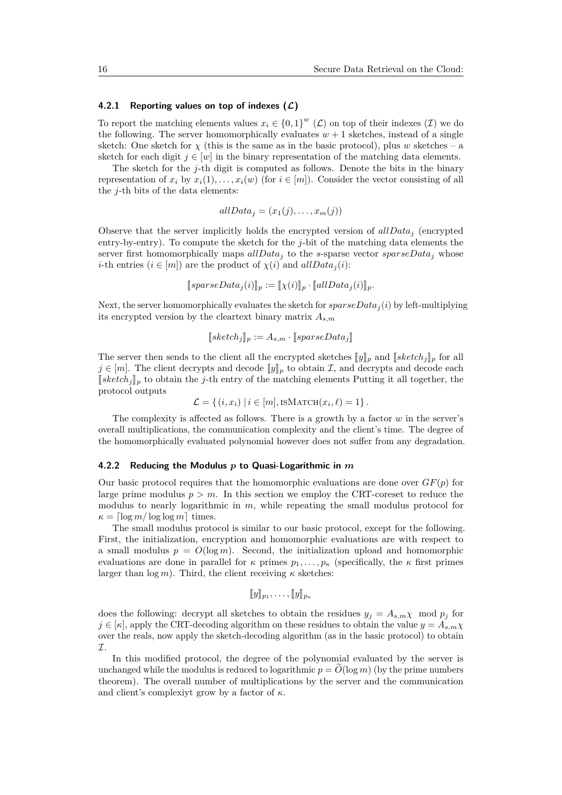#### **4.2.1 Reporting values on top of indexes (L)**

To report the matching elements values  $x_i \in \{0,1\}^w$  ( $\mathcal{L}$ ) on top of their indexes ( $\mathcal{I}$ ) we do the following. The server homomorphically evaluates  $w + 1$  sketches, instead of a single sketch: One sketch for  $\chi$  (this is the same as in the basic protocol), plus *w* sketches – a sketch for each digit  $j \in [w]$  in the binary representation of the matching data elements.

The sketch for the *j*-th digit is computed as follows. Denote the bits in the binary representation of  $x_i$  by  $x_i(1), \ldots, x_i(w)$  (for  $i \in [m]$ ). Consider the vector consisting of all the *j*-th bits of the data elements:

$$
allData_j = (x_1(j), \ldots, x_m(j))
$$

Observe that the server implicitly holds the encrypted version of *allData<sup>j</sup>* (encrypted entry-by-entry). To compute the sketch for the *j*-bit of the matching data elements the server first homomorphically maps *allData<sup>j</sup>* to the *s*-sparse vector *sparseData<sup>j</sup>* whose *i*-th entries  $(i \in [m])$  are the product of  $\chi(i)$  and  $allData_i(i)$ :

$$
[\![sparseData_j(i)]\!]_p := [\![\chi(i)]\!]_p \cdot [\![allData_j(i)]\!]_p.
$$

Next, the server homomorphically evaluates the sketch for *sparseData<sup>j</sup>* (*i*) by left-multiplying its encrypted version by the cleartext binary matrix *As,m*

$$
[[sketch_j]]_p := A_{s,m} \cdot [[sparseData_j]]
$$

The server then sends to the client all the encrypted sketches  $[\![y]\!]_p$  and  $[\![sketch_j]\!]_p$  for all  $j \in [m]$ . The client decrypts and decode  $\llbracket y \rrbracket_p$  to obtain I, and decrypts and decode each  $[sketch<sub>j</sub>]<sub>p</sub>$  to obtain the *j*-th entry of the matching elements Putting it all together, the protocol outputs

$$
\mathcal{L} = \{ (i, x_i) \mid i \in [m], \text{ISMATCH}(x_i, \ell) = 1 \}.
$$

The complexity is affected as follows. There is a growth by a factor *w* in the server's overall multiplications, the communication complexity and the client's time. The degree of the homomorphically evaluated polynomial however does not suffer from any degradation.

#### <span id="page-15-0"></span>**4.2.2 Reducing the Modulus** *p* **to Quasi-Logarithmic in** *m*

Our basic protocol requires that the homomorphic evaluations are done over  $GF(p)$  for large prime modulus  $p > m$ . In this section we employ the CRT-coreset to reduce the modulus to nearly logarithmic in *m*, while repeating the small modulus protocol for  $\kappa = \lceil \log m / \log \log m \rceil$  times.

The small modulus protocol is similar to our basic protocol, except for the following. First, the initialization, encryption and homomorphic evaluations are with respect to a small modulus  $p = O(\log m)$ . Second, the initialization upload and homomorphic evaluations are done in parallel for  $\kappa$  primes  $p_1, \ldots, p_\kappa$  (specifically, the  $\kappa$  first primes larger than  $\log m$ ). Third, the client receiving  $\kappa$  sketches:

$$
[\![y]\!]_{p_1},\ldots,[\![y]\!]_{p_\kappa}
$$

does the following: decrypt all sketches to obtain the residues  $y_j = A_{s,m} \chi \mod p_j$  for  $j \in [\kappa]$ , apply the CRT-decoding algorithm on these residues to obtain the value  $y = A_{s,m}\chi$ over the reals, now apply the sketch-decoding algorithm (as in the basic protocol) to obtain  $\tau$ 

In this modified protocol, the degree of the polynomial evaluated by the server is unchanged while the modulus is reduced to logarithmic  $p = O(\log m)$  (by the prime numbers theorem). The overall number of multiplications by the server and the communication and client's complexiyt grow by a factor of *κ*.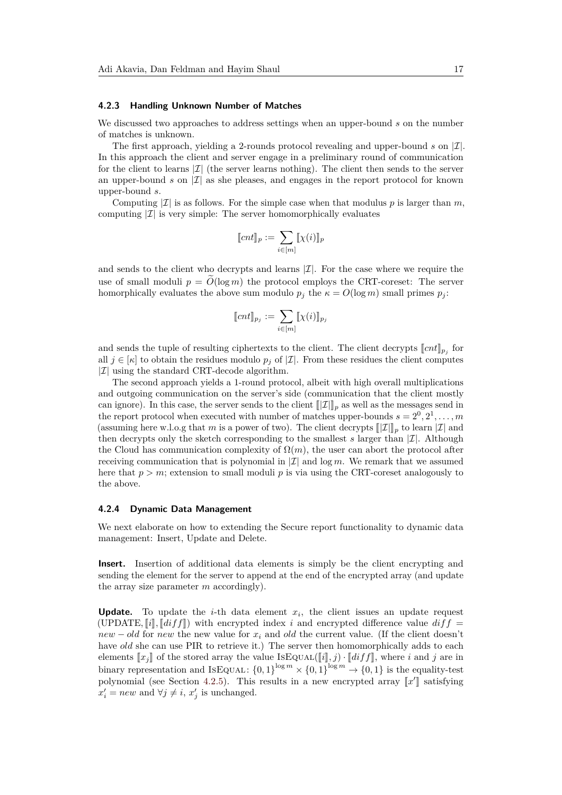#### <span id="page-16-0"></span>**4.2.3 Handling Unknown Number of Matches**

We discussed two approaches to address settings when an upper-bound *s* on the number of matches is unknown.

The first approach, yielding a 2-rounds protocol revealing and upper-bound  $s$  on  $|\mathcal{I}|$ . In this approach the client and server engage in a preliminary round of communication for the client to learns  $|\mathcal{I}|$  (the server learns nothing). The client then sends to the server an upper-bound  $s$  on  $|\mathcal{I}|$  as she pleases, and engages in the report protocol for known upper-bound *s*.

Computing  $|\mathcal{I}|$  is as follows. For the simple case when that modulus p is larger than m, computing  $|\mathcal{I}|$  is very simple: The server homomorphically evaluates

$$
[\![cnt]\!]_p := \sum_{i \in [m]} [\![\chi(i)]\!]_p
$$

and sends to the client who decrypts and learns  $|\mathcal{I}|$ . For the case where we require the use of small moduli  $p = \tilde{O}(\log m)$  the protocol employs the CRT-coreset: The server homorphically evaluates the above sum modulo  $p_j$  the  $\kappa = O(\log m)$  small primes  $p_j$ :

$$
\llbracket cnt \rrbracket_{p_j} := \sum_{i \in [m]} \llbracket \chi(i) \rrbracket_{p_j}
$$

and sends the tuple of resulting ciphertexts to the client. The client decrypts  $[\![cnt]\!]_{p_j}$  for all  $j \in [r]$  to obtain the residues module  $p_i$  of  $|T|$ . From these residues the client computes all  $j \in [\kappa]$  to obtain the residues modulo  $p_j$  of  $|\mathcal{I}|$ . From these residues the client computes  $|\mathcal{I}|$  using the standard CRT-decode algorithm.

The second approach yields a 1-round protocol, albeit with high overall multiplications and outgoing communication on the server's side (communication that the client mostly can ignore). In this case, the server sends to the client  $[\![\mathcal{I}]\!]_p$  as well as the messages send in the report protocol when executed with number of matches upper-bounds  $s = 2^0, 2^1, \ldots, m$ (assuming here w.l.o.g that *m* is a power of two). The client decrypts  $\llbracket \mathcal{I} \rrbracket_p$  to learn  $\llbracket \mathcal{I} \rrbracket$  and then decrypts only the sketch corresponding to the smallest  $s$  larger than  $|\mathcal{I}|$ . Although the Cloud has communication complexity of  $\Omega(m)$ , the user can abort the protocol after receiving communication that is polynomial in  $|\mathcal{I}|$  and log *m*. We remark that we assumed here that  $p > m$ ; extension to small moduli p is via using the CRT-coreset analogously to the above.

#### **4.2.4 Dynamic Data Management**

We next elaborate on how to extending the Secure report functionality to dynamic data management: Insert, Update and Delete.

**Insert.** Insertion of additional data elements is simply be the client encrypting and sending the element for the server to append at the end of the encrypted array (and update the array size parameter *m* accordingly).

**Update.** To update the *i*-th data element  $x_i$ , the client issues an update request (UPDATE,  $[i]$ ,  $[diff]$ ) with encrypted index *i* and encrypted difference value  $diff$ *new* − *old* for *new* the new value for  $x_i$  and *old* the current value. (If the client doesn't have *old* she can use PIR to retrieve it.) The server then homomorphically adds to each elements  $[x_j]$  of the stored array the value ISEQUAL( $[i], j$ ) ·  $[diff]$ , where *i* and *j* are in binary representation and ISEQUAL:  ${0,1}^{\log m} \times {0,1}^{\log m} \to {0,1}$  is the equality-test polynomial (see Section [4.2.5\)](#page-17-1). This results in a new encrypted array  $\llbracket x' \rrbracket$  satisfying  $x' = new$  and  $\forall i \neq i$ ,  $x'$  is unabanged  $x'_i = new$  and  $\forall j \neq i$ ,  $x'_j$  is unchanged.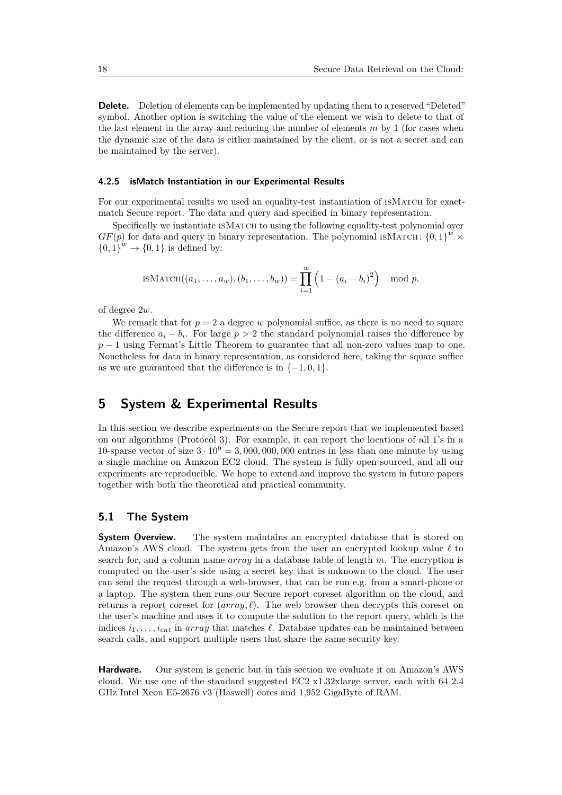**Delete.** Deletion of elements can be implemented by updating them to a reserved "Deleted" symbol. Another option is switching the value of the element we wish to delete to that of the last element in the array and reducing the number of elements *m* by 1 (for cases when the dynamic size of the data is either maintained by the client, or is not a secret and can be maintained by the server).

#### <span id="page-17-1"></span>**4.2.5 isMatch Instantiation in our Experimental Results**

For our experimental results we used an equality-test instantiation of ISMATCH for exactmatch Secure report. The data and query and specified in binary representation.

Specifically we instantiate ISMATCH to using the following equality-test polynomial over  $GF(p)$  for data and query in binary representation. The polynomial ISMATCH:  ${0,1}^w \times$  ${0,1}^w \rightarrow {0,1}$  is defined by:

$$
\text{ISMATCH}((a_1, ..., a_w), (b_1, ..., b_w)) = \prod_{i=1}^w \left(1 - (a_i - b_i)^2\right) \mod p.
$$

of degree 2*w*.

We remark that for  $p = 2$  a degree w polynomial suffice, as there is no need to square the difference  $a_i - b_i$ . For large  $p > 2$  the standard polynomial raises the difference by *p* − 1 using Fermat's Little Theorem to guarantee that all non-zero values map to one. Nonetheless for data in binary representation, as considered here, taking the square suffice as we are guaranteed that the difference is in  $\{-1, 0, 1\}$ .

# <span id="page-17-0"></span>**5 System & Experimental Results**

In this section we describe experiments on the Secure report that we implemented based on our algorithms (Protocol [3\)](#page-14-0). For example, it can report the locations of all 1's in a 10-sparse vector of size  $3 \cdot 10^9 = 3,000,000,000$  entries in less than one minute by using a single machine on Amazon EC2 cloud. The system is fully open sourced, and all our experiments are reproducible. We hope to extend and improve the system in future papers together with both the theoretical and practical community.

### **5.1 The System**

**System Overview.** The system maintains an encrypted database that is stored on Amazon's AWS cloud. The system gets from the user an encrypted lookup value  $\ell$  to search for, and a column name *array* in a database table of length *m*. The encryption is computed on the user's side using a secret key that is unknown to the cloud. The user can send the request through a web-browser, that can be run e.g. from a smart-phone or a laptop. The system then runs our Secure report coreset algorithm on the cloud, and returns a report coreset for  $(array, l)$ . The web browser then decrypts this coreset on the user's machine and uses it to compute the solution to the report query, which is the indices  $i_1, \ldots, i_{cnt}$  in *array* that matches  $\ell$ . Database updates can be maintained between search calls, and support multiple users that share the same security key.

**Hardware.** Our system is generic but in this section we evaluate it on Amazon's AWS cloud. We use one of the standard suggested EC2 x1.32xlarge server, each with 64 2.4 GHz Intel Xeon E5-2676 v3 (Haswell) cores and 1,952 GigaByte of RAM.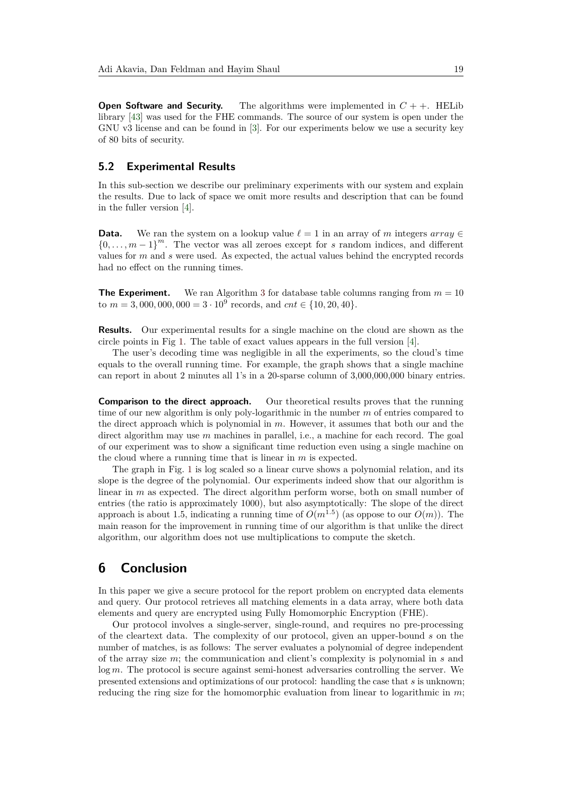**Open Software and Security.** The algorithms were implemented in  $C + +$ . HELib library [\[43\]](#page-23-4) was used for the FHE commands. The source of our system is open under the GNU v3 license and can be found in [\[3\]](#page-20-2). For our experiments below we use a security key of 80 bits of security.

## **5.2 Experimental Results**

In this sub-section we describe our preliminary experiments with our system and explain the results. Due to lack of space we omit more results and description that can be found in the fuller version [\[4\]](#page-20-11).

**Data.** We ran the system on a lookup value  $\ell = 1$  in an array of *m* integers  $array \in \mathbb{R}$  ${0, \ldots, m-1}^m$ . The vector was all zeroes except for *s* random indices, and different values for *m* and *s* were used. As expected, the actual values behind the encrypted records had no effect on the running times.

**The Experiment.** We ran Algorithm [3](#page-14-0) for database table columns ranging from  $m = 10$ to  $m = 3,000,000,000 = 3 \cdot 10^9$  records, and  $cnt \in \{10,20,40\}.$ 

**Results.** Our experimental results for a single machine on the cloud are shown as the circle points in Fig [1.](#page-4-0) The table of exact values appears in the full version [\[4\]](#page-20-11).

The user's decoding time was negligible in all the experiments, so the cloud's time equals to the overall running time. For example, the graph shows that a single machine can report in about 2 minutes all 1's in a 20-sparse column of 3,000,000,000 binary entries.

**Comparison to the direct approach.** Our theoretical results proves that the running time of our new algorithm is only poly-logarithmic in the number *m* of entries compared to the direct approach which is polynomial in *m*. However, it assumes that both our and the direct algorithm may use *m* machines in parallel, i.e., a machine for each record. The goal of our experiment was to show a significant time reduction even using a single machine on the cloud where a running time that is linear in *m* is expected.

The graph in Fig. [1](#page-4-0) is log scaled so a linear curve shows a polynomial relation, and its slope is the degree of the polynomial. Our experiments indeed show that our algorithm is linear in *m* as expected. The direct algorithm perform worse, both on small number of entries (the ratio is approximately 1000), but also asymptotically: The slope of the direct approach is about 1.5, indicating a running time of  $O(m^{1.5})$  (as oppose to our  $O(m)$ ). The main reason for the improvement in running time of our algorithm is that unlike the direct algorithm, our algorithm does not use multiplications to compute the sketch.

# **6 Conclusion**

In this paper we give a secure protocol for the report problem on encrypted data elements and query. Our protocol retrieves all matching elements in a data array, where both data elements and query are encrypted using Fully Homomorphic Encryption (FHE).

Our protocol involves a single-server, single-round, and requires no pre-processing of the cleartext data. The complexity of our protocol, given an upper-bound *s* on the number of matches, is as follows: The server evaluates a polynomial of degree independent of the array size *m*; the communication and client's complexity is polynomial in *s* and log *m*. The protocol is secure against semi-honest adversaries controlling the server. We presented extensions and optimizations of our protocol: handling the case that *s* is unknown; reducing the ring size for the homomorphic evaluation from linear to logarithmic in *m*;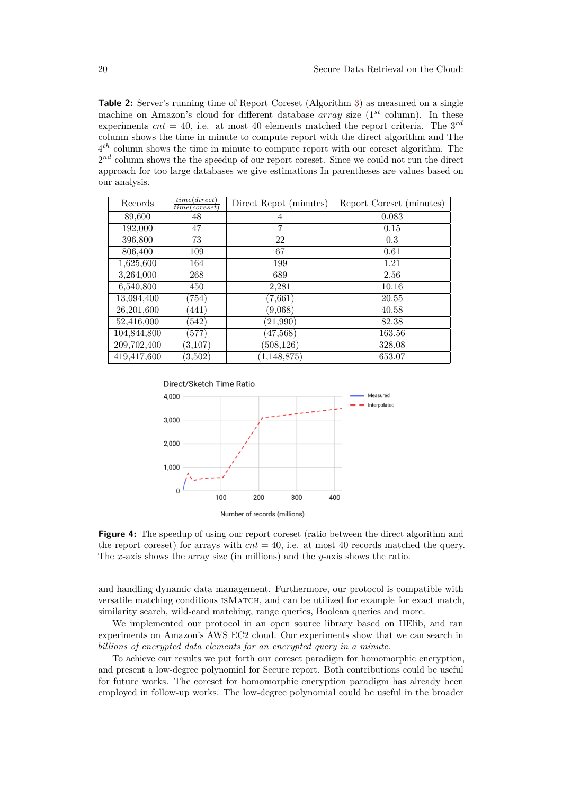**Table 2:** Server's running time of Report Coreset (Algorithm [3\)](#page-14-0) as measured on a single machine on Amazon's cloud for different database *array* size (1<sup>st</sup> column). In these experiments  $cnt = 40$ , i.e. at most 40 elements matched the report criteria. The  $3^{rd}$ column shows the time in minute to compute report with the direct algorithm and The 4 *th* column shows the time in minute to compute report with our coreset algorithm. The  $2^{nd}$  column shows the the speedup of our report coreset. Since we could not run the direct approach for too large databases we give estimations In parentheses are values based on our analysis.

| Records     | time(direct)<br>time(coreset) | Direct Repot (minutes) | Report Coreset (minutes) |
|-------------|-------------------------------|------------------------|--------------------------|
| 89,600      | 48                            | 4                      | 0.083                    |
| 192,000     | 47                            | 7                      | 0.15                     |
| 396,800     | 73                            | 22                     | 0.3                      |
| 806,400     | 109                           | 67                     | 0.61                     |
| 1,625,600   | 164                           | 199                    | 1.21                     |
| 3,264,000   | 268                           | 689                    | 2.56                     |
| 6,540,800   | 450                           | 2,281                  | 10.16                    |
| 13,094,400  | (754)                         | (7, 661)               | 20.55                    |
| 26,201,600  | (441)                         | (9,068)                | 40.58                    |
| 52,416,000  | (542)                         | (21, 990)              | 82.38                    |
| 104,844,800 | (577)                         | (47,568)               | 163.56                   |
| 209,702,400 | (3,107)                       | (508, 126)             | 328.08                   |
| 419,417,600 | (3,502)                       | (1, 148, 875)          | 653.07                   |



**Figure 4:** The speedup of using our report coreset (ratio between the direct algorithm and the report coreset) for arrays with  $cnt = 40$ , i.e. at most 40 records matched the query. The *x*-axis shows the array size (in millions) and the *y*-axis shows the ratio.

and handling dynamic data management. Furthermore, our protocol is compatible with versatile matching conditions isMatch, and can be utilized for example for exact match, similarity search, wild-card matching, range queries, Boolean queries and more.

We implemented our protocol in an open source library based on HElib, and ran experiments on Amazon's AWS EC2 cloud. Our experiments show that we can search in *billions of encrypted data elements for an encrypted query in a minute*.

To achieve our results we put forth our coreset paradigm for homomorphic encryption, and present a low-degree polynomial for Secure report. Both contributions could be useful for future works. The coreset for homomorphic encryption paradigm has already been employed in follow-up works. The low-degree polynomial could be useful in the broader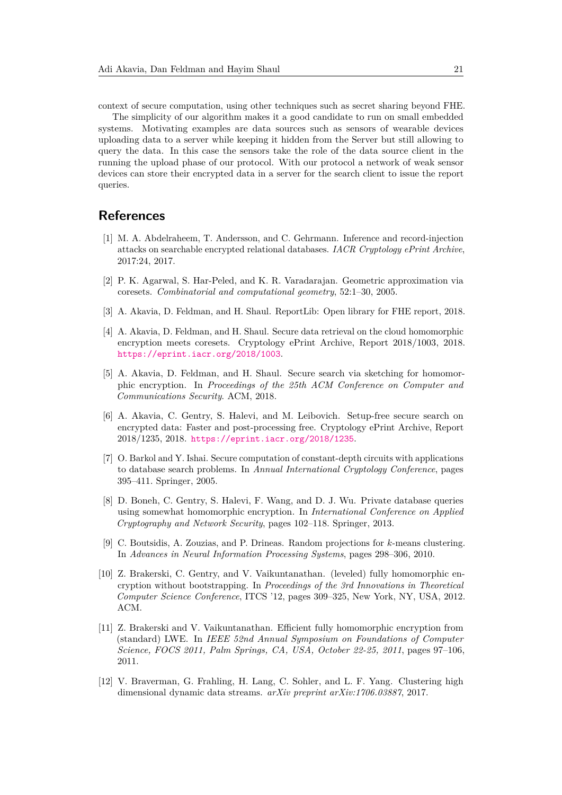context of secure computation, using other techniques such as secret sharing beyond FHE.

The simplicity of our algorithm makes it a good candidate to run on small embedded systems. Motivating examples are data sources such as sensors of wearable devices uploading data to a server while keeping it hidden from the Server but still allowing to query the data. In this case the sensors take the role of the data source client in the running the upload phase of our protocol. With our protocol a network of weak sensor devices can store their encrypted data in a server for the search client to issue the report queries.

# **References**

- <span id="page-20-5"></span>[1] M. A. Abdelraheem, T. Andersson, and C. Gehrmann. Inference and record-injection attacks on searchable encrypted relational databases. *IACR Cryptology ePrint Archive*, 2017:24, 2017.
- <span id="page-20-8"></span>[2] P. K. Agarwal, S. Har-Peled, and K. R. Varadarajan. Geometric approximation via coresets. *Combinatorial and computational geometry*, 52:1–30, 2005.
- <span id="page-20-2"></span>[3] A. Akavia, D. Feldman, and H. Shaul. ReportLib: Open library for FHE report, 2018.
- <span id="page-20-11"></span>[4] A. Akavia, D. Feldman, and H. Shaul. Secure data retrieval on the cloud homomorphic encryption meets coresets. Cryptology ePrint Archive, Report 2018/1003, 2018. <https://eprint.iacr.org/2018/1003>.
- <span id="page-20-3"></span>[5] A. Akavia, D. Feldman, and H. Shaul. Secure search via sketching for homomorphic encryption. In *Proceedings of the 25th ACM Conference on Computer and Communications Security*. ACM, 2018.
- <span id="page-20-1"></span>[6] A. Akavia, C. Gentry, S. Halevi, and M. Leibovich. Setup-free secure search on encrypted data: Faster and post-processing free. Cryptology ePrint Archive, Report 2018/1235, 2018. <https://eprint.iacr.org/2018/1235>.
- <span id="page-20-0"></span>[7] O. Barkol and Y. Ishai. Secure computation of constant-depth circuits with applications to database search problems. In *Annual International Cryptology Conference*, pages 395–411. Springer, 2005.
- <span id="page-20-6"></span>[8] D. Boneh, C. Gentry, S. Halevi, F. Wang, and D. J. Wu. Private database queries using somewhat homomorphic encryption. In *International Conference on Applied Cryptography and Network Security*, pages 102–118. Springer, 2013.
- <span id="page-20-7"></span>[9] C. Boutsidis, A. Zouzias, and P. Drineas. Random projections for *k*-means clustering. In *Advances in Neural Information Processing Systems*, pages 298–306, 2010.
- <span id="page-20-10"></span>[10] Z. Brakerski, C. Gentry, and V. Vaikuntanathan. (leveled) fully homomorphic encryption without bootstrapping. In *Proceedings of the 3rd Innovations in Theoretical Computer Science Conference*, ITCS '12, pages 309–325, New York, NY, USA, 2012. ACM.
- <span id="page-20-4"></span>[11] Z. Brakerski and V. Vaikuntanathan. Efficient fully homomorphic encryption from (standard) LWE. In *IEEE 52nd Annual Symposium on Foundations of Computer Science, FOCS 2011, Palm Springs, CA, USA, October 22-25, 2011*, pages 97–106, 2011.
- <span id="page-20-9"></span>[12] V. Braverman, G. Frahling, H. Lang, C. Sohler, and L. F. Yang. Clustering high dimensional dynamic data streams. *arXiv preprint arXiv:1706.03887*, 2017.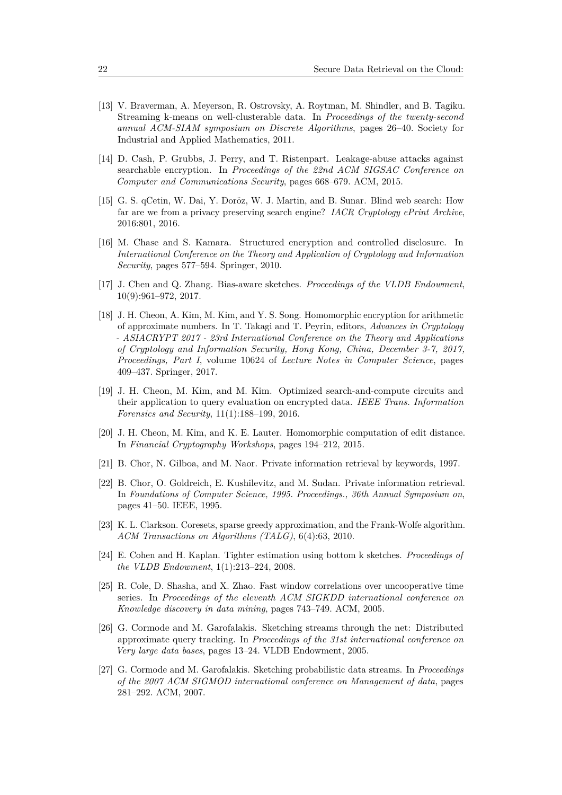- <span id="page-21-8"></span>[13] V. Braverman, A. Meyerson, R. Ostrovsky, A. Roytman, M. Shindler, and B. Tagiku. Streaming k-means on well-clusterable data. In *Proceedings of the twenty-second annual ACM-SIAM symposium on Discrete Algorithms*, pages 26–40. Society for Industrial and Applied Mathematics, 2011.
- <span id="page-21-4"></span>[14] D. Cash, P. Grubbs, J. Perry, and T. Ristenpart. Leakage-abuse attacks against searchable encryption. In *Proceedings of the 22nd ACM SIGSAC Conference on Computer and Communications Security*, pages 668–679. ACM, 2015.
- <span id="page-21-5"></span>[15] G. S. qCetin, W. Dai, Y. Doröz, W. J. Martin, and B. Sunar. Blind web search: How far are we from a privacy preserving search engine? *IACR Cryptology ePrint Archive*, 2016:801, 2016.
- <span id="page-21-3"></span>[16] M. Chase and S. Kamara. Structured encryption and controlled disclosure. In *International Conference on the Theory and Application of Cryptology and Information Security*, pages 577–594. Springer, 2010.
- <span id="page-21-12"></span>[17] J. Chen and Q. Zhang. Bias-aware sketches. *Proceedings of the VLDB Endowment*, 10(9):961–972, 2017.
- <span id="page-21-14"></span>[18] J. H. Cheon, A. Kim, M. Kim, and Y. S. Song. Homomorphic encryption for arithmetic of approximate numbers. In T. Takagi and T. Peyrin, editors, *Advances in Cryptology - ASIACRYPT 2017 - 23rd International Conference on the Theory and Applications of Cryptology and Information Security, Hong Kong, China, December 3-7, 2017, Proceedings, Part I*, volume 10624 of *Lecture Notes in Computer Science*, pages 409–437. Springer, 2017.
- <span id="page-21-1"></span>[19] J. H. Cheon, M. Kim, and M. Kim. Optimized search-and-compute circuits and their application to query evaluation on encrypted data. *IEEE Trans. Information Forensics and Security*, 11(1):188–199, 2016.
- <span id="page-21-0"></span>[20] J. H. Cheon, M. Kim, and K. E. Lauter. Homomorphic computation of edit distance. In *Financial Cryptography Workshops*, pages 194–212, 2015.
- <span id="page-21-6"></span>[21] B. Chor, N. Gilboa, and M. Naor. Private information retrieval by keywords, 1997.
- <span id="page-21-2"></span>[22] B. Chor, O. Goldreich, E. Kushilevitz, and M. Sudan. Private information retrieval. In *Foundations of Computer Science, 1995. Proceedings., 36th Annual Symposium on*, pages 41–50. IEEE, 1995.
- <span id="page-21-7"></span>[23] K. L. Clarkson. Coresets, sparse greedy approximation, and the Frank-Wolfe algorithm. *ACM Transactions on Algorithms (TALG)*, 6(4):63, 2010.
- <span id="page-21-10"></span>[24] E. Cohen and H. Kaplan. Tighter estimation using bottom k sketches. *Proceedings of the VLDB Endowment*, 1(1):213–224, 2008.
- <span id="page-21-13"></span>[25] R. Cole, D. Shasha, and X. Zhao. Fast window correlations over uncooperative time series. In *Proceedings of the eleventh ACM SIGKDD international conference on Knowledge discovery in data mining*, pages 743–749. ACM, 2005.
- <span id="page-21-9"></span>[26] G. Cormode and M. Garofalakis. Sketching streams through the net: Distributed approximate query tracking. In *Proceedings of the 31st international conference on Very large data bases*, pages 13–24. VLDB Endowment, 2005.
- <span id="page-21-11"></span>[27] G. Cormode and M. Garofalakis. Sketching probabilistic data streams. In *Proceedings of the 2007 ACM SIGMOD international conference on Management of data*, pages 281–292. ACM, 2007.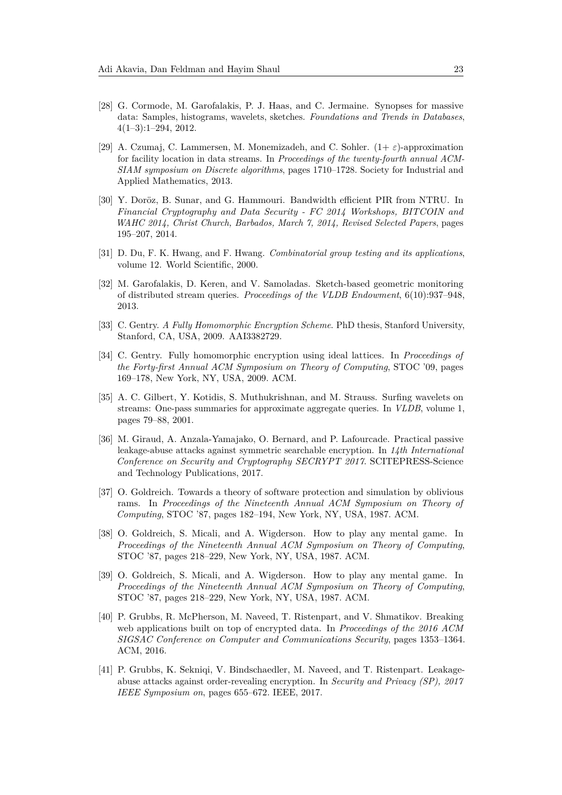- <span id="page-22-13"></span>[28] G. Cormode, M. Garofalakis, P. J. Haas, and C. Jermaine. Synopses for massive data: Samples, histograms, wavelets, sketches. *Foundations and Trends in Databases*, 4(1–3):1–294, 2012.
- <span id="page-22-10"></span>[29] A. Czumaj, C. Lammersen, M. Monemizadeh, and C. Sohler. (1+ *ε*)-approximation for facility location in data streams. In *Proceedings of the twenty-fourth annual ACM-SIAM symposium on Discrete algorithms*, pages 1710–1728. Society for Industrial and Applied Mathematics, 2013.
- <span id="page-22-3"></span>[30] Y. Doröz, B. Sunar, and G. Hammouri. Bandwidth efficient PIR from NTRU. In *Financial Cryptography and Data Security - FC 2014 Workshops, BITCOIN and WAHC 2014, Christ Church, Barbados, March 7, 2014, Revised Selected Papers*, pages 195–207, 2014.
- <span id="page-22-9"></span>[31] D. Du, F. K. Hwang, and F. Hwang. *Combinatorial group testing and its applications*, volume 12. World Scientific, 2000.
- <span id="page-22-12"></span>[32] M. Garofalakis, D. Keren, and V. Samoladas. Sketch-based geometric monitoring of distributed stream queries. *Proceedings of the VLDB Endowment*, 6(10):937–948, 2013.
- <span id="page-22-1"></span>[33] C. Gentry. *A Fully Homomorphic Encryption Scheme*. PhD thesis, Stanford University, Stanford, CA, USA, 2009. AAI3382729.
- <span id="page-22-2"></span>[34] C. Gentry. Fully homomorphic encryption using ideal lattices. In *Proceedings of the Forty-first Annual ACM Symposium on Theory of Computing*, STOC '09, pages 169–178, New York, NY, USA, 2009. ACM.
- <span id="page-22-11"></span>[35] A. C. Gilbert, Y. Kotidis, S. Muthukrishnan, and M. Strauss. Surfing wavelets on streams: One-pass summaries for approximate aggregate queries. In *VLDB*, volume 1, pages 79–88, 2001.
- <span id="page-22-4"></span>[36] M. Giraud, A. Anzala-Yamajako, O. Bernard, and P. Lafourcade. Practical passive leakage-abuse attacks against symmetric searchable encryption. In *14th International Conference on Security and Cryptography SECRYPT 2017*. SCITEPRESS-Science and Technology Publications, 2017.
- <span id="page-22-7"></span>[37] O. Goldreich. Towards a theory of software protection and simulation by oblivious rams. In *Proceedings of the Nineteenth Annual ACM Symposium on Theory of Computing*, STOC '87, pages 182–194, New York, NY, USA, 1987. ACM.
- <span id="page-22-0"></span>[38] O. Goldreich, S. Micali, and A. Wigderson. How to play any mental game. In *Proceedings of the Nineteenth Annual ACM Symposium on Theory of Computing*, STOC '87, pages 218–229, New York, NY, USA, 1987. ACM.
- <span id="page-22-8"></span>[39] O. Goldreich, S. Micali, and A. Wigderson. How to play any mental game. In *Proceedings of the Nineteenth Annual ACM Symposium on Theory of Computing*, STOC '87, pages 218–229, New York, NY, USA, 1987. ACM.
- <span id="page-22-5"></span>[40] P. Grubbs, R. McPherson, M. Naveed, T. Ristenpart, and V. Shmatikov. Breaking web applications built on top of encrypted data. In *Proceedings of the 2016 ACM SIGSAC Conference on Computer and Communications Security*, pages 1353–1364. ACM, 2016.
- <span id="page-22-6"></span>[41] P. Grubbs, K. Sekniqi, V. Bindschaedler, M. Naveed, and T. Ristenpart. Leakageabuse attacks against order-revealing encryption. In *Security and Privacy (SP), 2017 IEEE Symposium on*, pages 655–672. IEEE, 2017.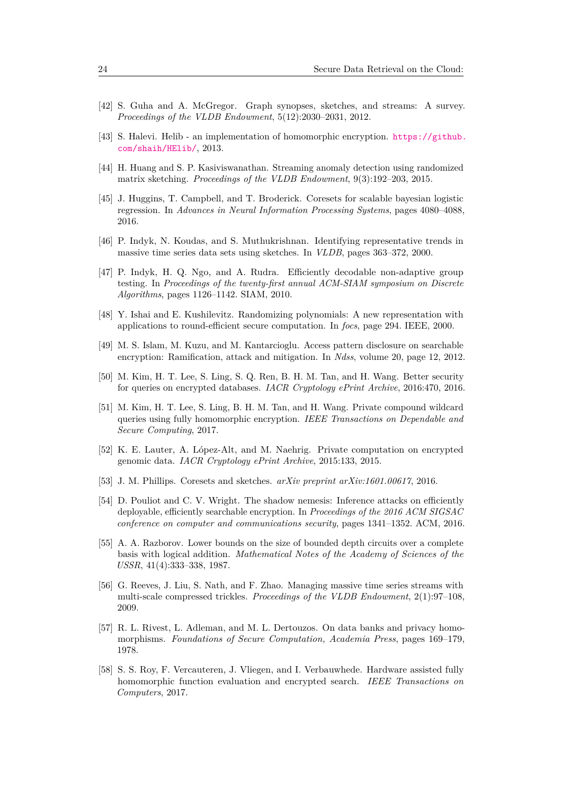- <span id="page-23-14"></span>[42] S. Guha and A. McGregor. Graph synopses, sketches, and streams: A survey. *Proceedings of the VLDB Endowment*, 5(12):2030–2031, 2012.
- <span id="page-23-4"></span>[43] S. Halevi. Helib - an implementation of homomorphic encryption. [https://github.](https://github.com/shaih/HElib/) [com/shaih/HElib/](https://github.com/shaih/HElib/), 2013.
- <span id="page-23-15"></span>[44] H. Huang and S. P. Kasiviswanathan. Streaming anomaly detection using randomized matrix sketching. *Proceedings of the VLDB Endowment*, 9(3):192–203, 2015.
- <span id="page-23-11"></span>[45] J. Huggins, T. Campbell, and T. Broderick. Coresets for scalable bayesian logistic regression. In *Advances in Neural Information Processing Systems*, pages 4080–4088, 2016.
- <span id="page-23-12"></span>[46] P. Indyk, N. Koudas, and S. Muthukrishnan. Identifying representative trends in massive time series data sets using sketches. In *VLDB*, pages 363–372, 2000.
- <span id="page-23-16"></span>[47] P. Indyk, H. Q. Ngo, and A. Rudra. Efficiently decodable non-adaptive group testing. In *Proceedings of the twenty-first annual ACM-SIAM symposium on Discrete Algorithms*, pages 1126–1142. SIAM, 2010.
- <span id="page-23-6"></span>[48] Y. Ishai and E. Kushilevitz. Randomizing polynomials: A new representation with applications to round-efficient secure computation. In *focs*, page 294. IEEE, 2000.
- <span id="page-23-7"></span>[49] M. S. Islam, M. Kuzu, and M. Kantarcioglu. Access pattern disclosure on searchable encryption: Ramification, attack and mitigation. In *Ndss*, volume 20, page 12, 2012.
- <span id="page-23-1"></span>[50] M. Kim, H. T. Lee, S. Ling, S. Q. Ren, B. H. M. Tan, and H. Wang. Better security for queries on encrypted databases. *IACR Cryptology ePrint Archive*, 2016:470, 2016.
- <span id="page-23-2"></span>[51] M. Kim, H. T. Lee, S. Ling, B. H. M. Tan, and H. Wang. Private compound wildcard queries using fully homomorphic encryption. *IEEE Transactions on Dependable and Secure Computing*, 2017.
- <span id="page-23-0"></span>[52] K. E. Lauter, A. López-Alt, and M. Naehrig. Private computation on encrypted genomic data. *IACR Cryptology ePrint Archive*, 2015:133, 2015.
- <span id="page-23-10"></span>[53] J. M. Phillips. Coresets and sketches. *arXiv preprint arXiv:1601.00617*, 2016.
- <span id="page-23-8"></span>[54] D. Pouliot and C. V. Wright. The shadow nemesis: Inference attacks on efficiently deployable, efficiently searchable encryption. In *Proceedings of the 2016 ACM SIGSAC conference on computer and communications security*, pages 1341–1352. ACM, 2016.
- <span id="page-23-5"></span>[55] A. A. Razborov. Lower bounds on the size of bounded depth circuits over a complete basis with logical addition. *Mathematical Notes of the Academy of Sciences of the USSR*, 41(4):333–338, 1987.
- <span id="page-23-13"></span>[56] G. Reeves, J. Liu, S. Nath, and F. Zhao. Managing massive time series streams with multi-scale compressed trickles. *Proceedings of the VLDB Endowment*, 2(1):97–108, 2009.
- <span id="page-23-3"></span>[57] R. L. Rivest, L. Adleman, and M. L. Dertouzos. On data banks and privacy homomorphisms. *Foundations of Secure Computation, Academia Press*, pages 169–179, 1978.
- <span id="page-23-9"></span>[58] S. S. Roy, F. Vercauteren, J. Vliegen, and I. Verbauwhede. Hardware assisted fully homomorphic function evaluation and encrypted search. *IEEE Transactions on Computers*, 2017.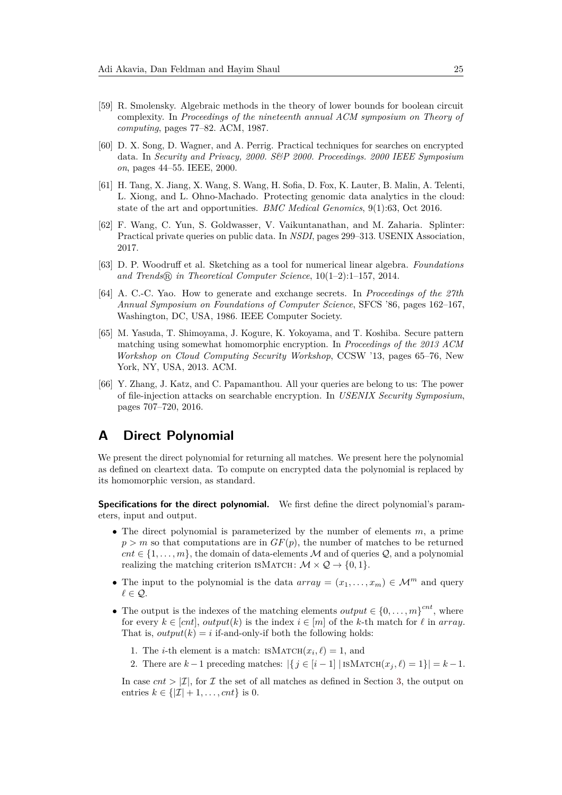- <span id="page-24-4"></span>[59] R. Smolensky. Algebraic methods in the theory of lower bounds for boolean circuit complexity. In *Proceedings of the nineteenth annual ACM symposium on Theory of computing*, pages 77–82. ACM, 1987.
- <span id="page-24-5"></span>[60] D. X. Song, D. Wagner, and A. Perrig. Practical techniques for searches on encrypted data. In *Security and Privacy, 2000. S&P 2000. Proceedings. 2000 IEEE Symposium on*, pages 44–55. IEEE, 2000.
- <span id="page-24-2"></span>[61] H. Tang, X. Jiang, X. Wang, S. Wang, H. Sofia, D. Fox, K. Lauter, B. Malin, A. Telenti, L. Xiong, and L. Ohno-Machado. Protecting genomic data analytics in the cloud: state of the art and opportunities. *BMC Medical Genomics*, 9(1):63, Oct 2016.
- <span id="page-24-7"></span>[62] F. Wang, C. Yun, S. Goldwasser, V. Vaikuntanathan, and M. Zaharia. Splinter: Practical private queries on public data. In *NSDI*, pages 299–313. USENIX Association, 2017.
- <span id="page-24-8"></span>[63] D. P. Woodruff et al. Sketching as a tool for numerical linear algebra. *Foundations and Trends* <sup>R</sup> *in Theoretical Computer Science*, 10(1–2):1–157, 2014.
- <span id="page-24-0"></span>[64] A. C.-C. Yao. How to generate and exchange secrets. In *Proceedings of the 27th Annual Symposium on Foundations of Computer Science*, SFCS '86, pages 162–167, Washington, DC, USA, 1986. IEEE Computer Society.
- <span id="page-24-1"></span>[65] M. Yasuda, T. Shimoyama, J. Kogure, K. Yokoyama, and T. Koshiba. Secure pattern matching using somewhat homomorphic encryption. In *Proceedings of the 2013 ACM Workshop on Cloud Computing Security Workshop*, CCSW '13, pages 65–76, New York, NY, USA, 2013. ACM.
- <span id="page-24-6"></span>[66] Y. Zhang, J. Katz, and C. Papamanthou. All your queries are belong to us: The power of file-injection attacks on searchable encryption. In *USENIX Security Symposium*, pages 707–720, 2016.

# <span id="page-24-3"></span>**A Direct Polynomial**

We present the direct polynomial for returning all matches. We present here the polynomial as defined on cleartext data. To compute on encrypted data the polynomial is replaced by its homomorphic version, as standard.

**Specifications for the direct polynomial.** We first define the direct polynomial's parameters, input and output.

- The direct polynomial is parameterized by the number of elements *m*, a prime  $p > m$  so that computations are in  $GF(p)$ , the number of matches to be returned  $cnt \in \{1, \ldots, m\}$ , the domain of data-elements M and of queries Q, and a polynomial realizing the matching criterion ISMATCH:  $\mathcal{M} \times \mathcal{Q} \rightarrow \{0, 1\}.$
- The input to the polynomial is the data  $array = (x_1, \ldots, x_m) \in \mathcal{M}^m$  and query  $l \in \mathcal{Q}$ .
- The output is the indexes of the matching elements *output*  $\in \{0, \ldots, m\}^{cnt}$ , where for every  $k \in [cnt]$ ,  $output(k)$  is the index  $i \in [m]$  of the *k*-th match for  $\ell$  in *array*. That is,  $output(k) = i$  if-and-only-if both the following holds:
	- 1. The *i*-th element is a match: ISMATCH $(x_i, \ell) = 1$ , and
	- 2. There are  $k-1$  preceding matches:  $|\{j \in [i-1] \mid \text{ISMATCH}(x_j, \ell) = 1\}| = k-1$ .

In case  $cnt > |\mathcal{I}|$ , for  $\mathcal{I}$  the set of all matches as defined in Section [3,](#page-7-0) the output on entries  $k \in \{|\mathcal{I}| + 1, \ldots, \text{cnt}\}\$ is 0.